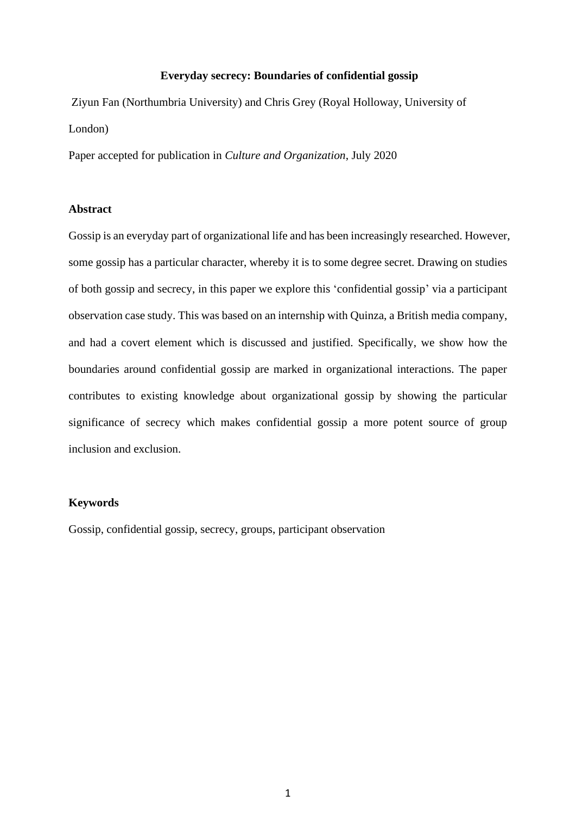#### **Everyday secrecy: Boundaries of confidential gossip**

Ziyun Fan (Northumbria University) and Chris Grey (Royal Holloway, University of London)

Paper accepted for publication in *Culture and Organization*, July 2020

# **Abstract**

Gossip is an everyday part of organizational life and has been increasingly researched. However, some gossip has a particular character, whereby it is to some degree secret. Drawing on studies of both gossip and secrecy, in this paper we explore this 'confidential gossip' via a participant observation case study. This was based on an internship with Quinza, a British media company, and had a covert element which is discussed and justified. Specifically, we show how the boundaries around confidential gossip are marked in organizational interactions. The paper contributes to existing knowledge about organizational gossip by showing the particular significance of secrecy which makes confidential gossip a more potent source of group inclusion and exclusion.

# **Keywords**

Gossip, confidential gossip, secrecy, groups, participant observation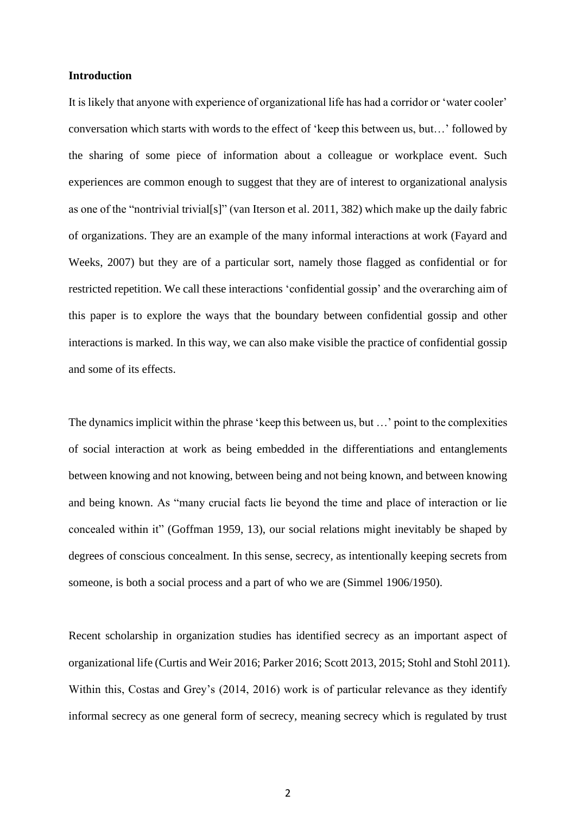#### **Introduction**

It is likely that anyone with experience of organizational life has had a corridor or 'water cooler' conversation which starts with words to the effect of 'keep this between us, but…' followed by the sharing of some piece of information about a colleague or workplace event. Such experiences are common enough to suggest that they are of interest to organizational analysis as one of the "nontrivial trivial[s]" (van Iterson et al. 2011, 382) which make up the daily fabric of organizations. They are an example of the many informal interactions at work (Fayard and Weeks, 2007) but they are of a particular sort, namely those flagged as confidential or for restricted repetition. We call these interactions 'confidential gossip' and the overarching aim of this paper is to explore the ways that the boundary between confidential gossip and other interactions is marked. In this way, we can also make visible the practice of confidential gossip and some of its effects.

The dynamics implicit within the phrase 'keep this between us, but …' point to the complexities of social interaction at work as being embedded in the differentiations and entanglements between knowing and not knowing, between being and not being known, and between knowing and being known. As "many crucial facts lie beyond the time and place of interaction or lie concealed within it" (Goffman 1959, 13), our social relations might inevitably be shaped by degrees of conscious concealment. In this sense, secrecy, as intentionally keeping secrets from someone, is both a social process and a part of who we are (Simmel 1906/1950).

Recent scholarship in organization studies has identified secrecy as an important aspect of organizational life (Curtis and Weir 2016; Parker 2016; Scott 2013, 2015; Stohl and Stohl 2011). Within this, Costas and Grey's (2014, 2016) work is of particular relevance as they identify informal secrecy as one general form of secrecy, meaning secrecy which is regulated by trust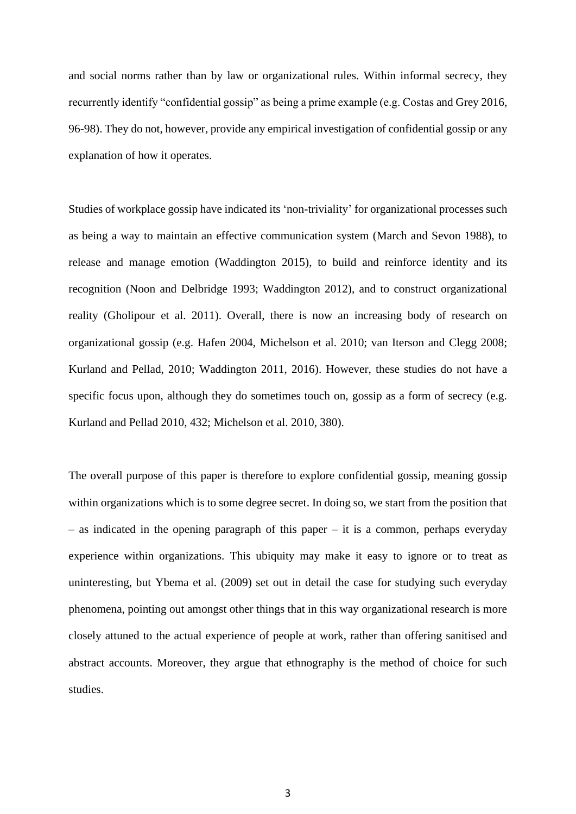and social norms rather than by law or organizational rules. Within informal secrecy, they recurrently identify "confidential gossip" as being a prime example (e.g. Costas and Grey 2016, 96-98). They do not, however, provide any empirical investigation of confidential gossip or any explanation of how it operates.

Studies of workplace gossip have indicated its 'non-triviality' for organizational processes such as being a way to maintain an effective communication system (March and Sevon 1988), to release and manage emotion (Waddington 2015), to build and reinforce identity and its recognition (Noon and Delbridge 1993; Waddington 2012), and to construct organizational reality (Gholipour et al. 2011). Overall, there is now an increasing body of research on organizational gossip (e.g. Hafen 2004, Michelson et al. 2010; van Iterson and Clegg 2008; Kurland and Pellad, 2010; Waddington 2011, 2016). However, these studies do not have a specific focus upon, although they do sometimes touch on, gossip as a form of secrecy (e.g. Kurland and Pellad 2010, 432; Michelson et al. 2010, 380).

The overall purpose of this paper is therefore to explore confidential gossip, meaning gossip within organizations which is to some degree secret. In doing so, we start from the position that  $-$  as indicated in the opening paragraph of this paper  $-$  it is a common, perhaps everyday experience within organizations. This ubiquity may make it easy to ignore or to treat as uninteresting, but Ybema et al. (2009) set out in detail the case for studying such everyday phenomena, pointing out amongst other things that in this way organizational research is more closely attuned to the actual experience of people at work, rather than offering sanitised and abstract accounts. Moreover, they argue that ethnography is the method of choice for such studies.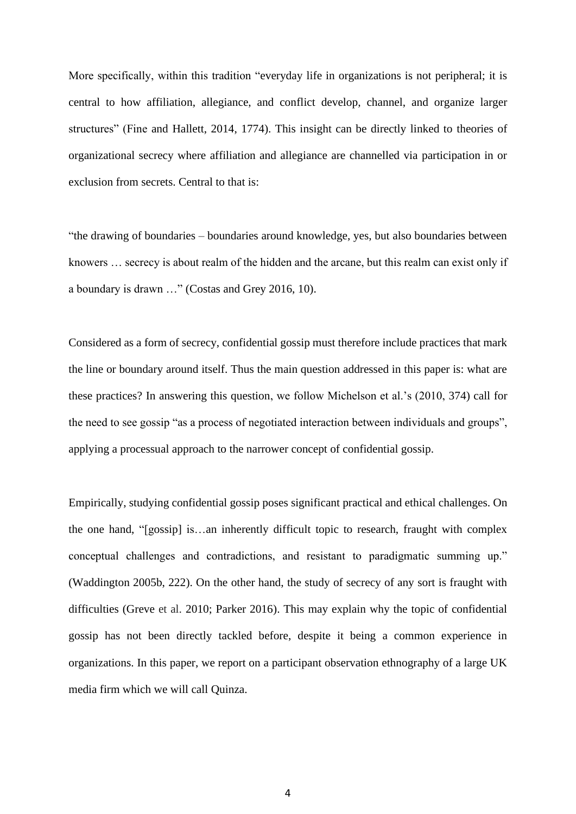More specifically, within this tradition "everyday life in organizations is not peripheral; it is central to how affiliation, allegiance, and conflict develop, channel, and organize larger structures" (Fine and Hallett, 2014, 1774). This insight can be directly linked to theories of organizational secrecy where affiliation and allegiance are channelled via participation in or exclusion from secrets. Central to that is:

"the drawing of boundaries – boundaries around knowledge, yes, but also boundaries between knowers … secrecy is about realm of the hidden and the arcane, but this realm can exist only if a boundary is drawn …" (Costas and Grey 2016, 10).

Considered as a form of secrecy, confidential gossip must therefore include practices that mark the line or boundary around itself. Thus the main question addressed in this paper is: what are these practices? In answering this question, we follow Michelson et al.'s (2010, 374) call for the need to see gossip "as a process of negotiated interaction between individuals and groups", applying a processual approach to the narrower concept of confidential gossip.

Empirically, studying confidential gossip poses significant practical and ethical challenges. On the one hand, "[gossip] is…an inherently difficult topic to research, fraught with complex conceptual challenges and contradictions, and resistant to paradigmatic summing up." (Waddington 2005b, 222). On the other hand, the study of secrecy of any sort is fraught with difficulties (Greve et al. 2010; Parker 2016). This may explain why the topic of confidential gossip has not been directly tackled before, despite it being a common experience in organizations. In this paper, we report on a participant observation ethnography of a large UK media firm which we will call Quinza.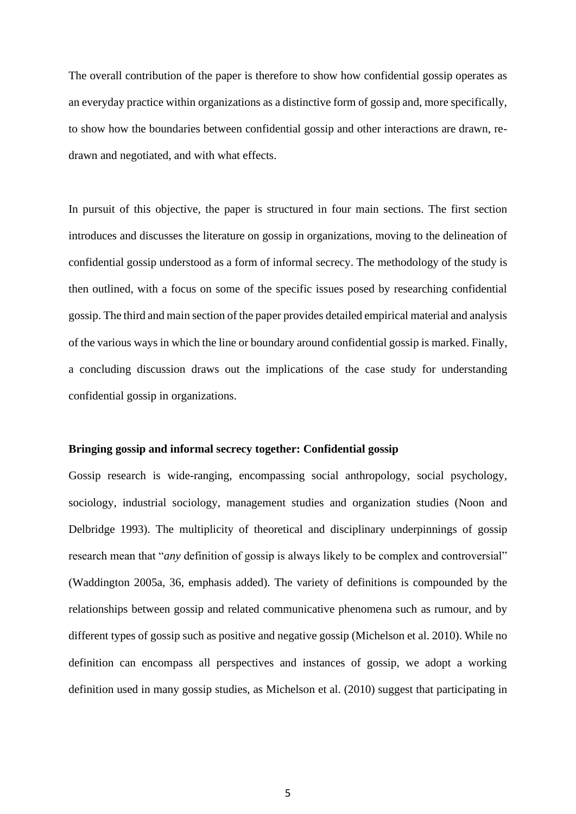The overall contribution of the paper is therefore to show how confidential gossip operates as an everyday practice within organizations as a distinctive form of gossip and, more specifically, to show how the boundaries between confidential gossip and other interactions are drawn, redrawn and negotiated, and with what effects.

In pursuit of this objective, the paper is structured in four main sections. The first section introduces and discusses the literature on gossip in organizations, moving to the delineation of confidential gossip understood as a form of informal secrecy. The methodology of the study is then outlined, with a focus on some of the specific issues posed by researching confidential gossip. The third and main section of the paper provides detailed empirical material and analysis of the various ways in which the line or boundary around confidential gossip is marked. Finally, a concluding discussion draws out the implications of the case study for understanding confidential gossip in organizations.

## **Bringing gossip and informal secrecy together: Confidential gossip**

Gossip research is wide-ranging, encompassing social anthropology, social psychology, sociology, industrial sociology, management studies and organization studies (Noon and Delbridge 1993). The multiplicity of theoretical and disciplinary underpinnings of gossip research mean that "*any* definition of gossip is always likely to be complex and controversial" (Waddington 2005a, 36, emphasis added). The variety of definitions is compounded by the relationships between gossip and related communicative phenomena such as rumour, and by different types of gossip such as positive and negative gossip (Michelson et al. 2010). While no definition can encompass all perspectives and instances of gossip, we adopt a working definition used in many gossip studies, as Michelson et al. (2010) suggest that participating in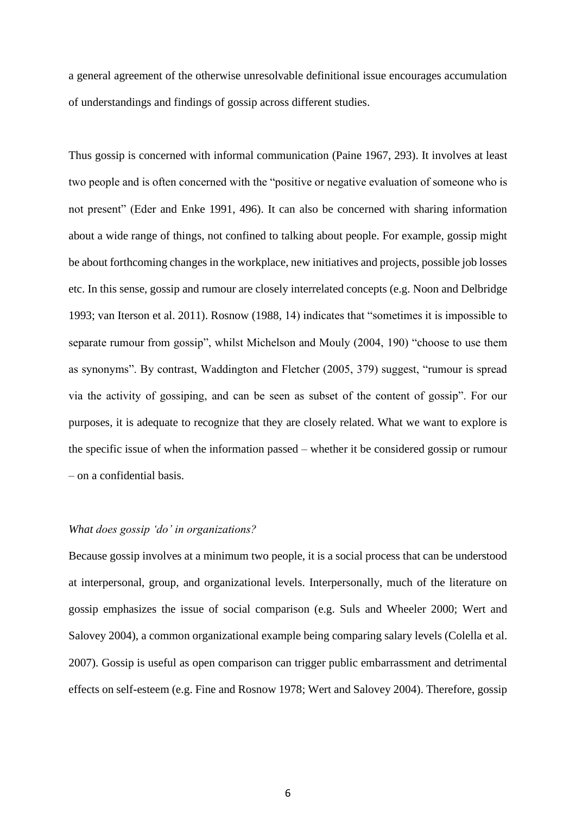a general agreement of the otherwise unresolvable definitional issue encourages accumulation of understandings and findings of gossip across different studies.

Thus gossip is concerned with informal communication (Paine 1967, 293). It involves at least two people and is often concerned with the "positive or negative evaluation of someone who is not present" (Eder and Enke 1991, 496). It can also be concerned with sharing information about a wide range of things, not confined to talking about people. For example, gossip might be about forthcoming changes in the workplace, new initiatives and projects, possible job losses etc. In this sense, gossip and rumour are closely interrelated concepts (e.g. Noon and Delbridge 1993; van Iterson et al. 2011). Rosnow (1988, 14) indicates that "sometimes it is impossible to separate rumour from gossip", whilst Michelson and Mouly (2004, 190) "choose to use them as synonyms". By contrast, Waddington and Fletcher (2005, 379) suggest, "rumour is spread via the activity of gossiping, and can be seen as subset of the content of gossip". For our purposes, it is adequate to recognize that they are closely related. What we want to explore is the specific issue of when the information passed – whether it be considered gossip or rumour – on a confidential basis.

## *What does gossip 'do' in organizations?*

Because gossip involves at a minimum two people, it is a social process that can be understood at interpersonal, group, and organizational levels. Interpersonally, much of the literature on gossip emphasizes the issue of social comparison (e.g. Suls and Wheeler 2000; Wert and Salovey 2004), a common organizational example being comparing salary levels (Colella et al. 2007). Gossip is useful as open comparison can trigger public embarrassment and detrimental effects on self-esteem (e.g. Fine and Rosnow 1978; Wert and Salovey 2004). Therefore, gossip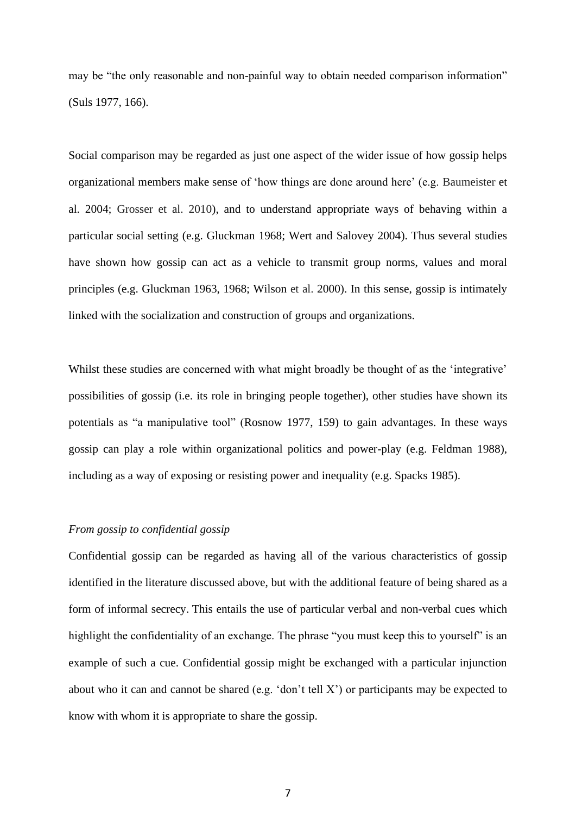may be "the only reasonable and non-painful way to obtain needed comparison information" (Suls 1977, 166).

Social comparison may be regarded as just one aspect of the wider issue of how gossip helps organizational members make sense of 'how things are done around here' (e.g. Baumeister et al. 2004; Grosser et al. 2010), and to understand appropriate ways of behaving within a particular social setting (e.g. Gluckman 1968; Wert and Salovey 2004). Thus several studies have shown how gossip can act as a vehicle to transmit group norms, values and moral principles (e.g. Gluckman 1963, 1968; Wilson et al. 2000). In this sense, gossip is intimately linked with the socialization and construction of groups and organizations.

Whilst these studies are concerned with what might broadly be thought of as the 'integrative' possibilities of gossip (i.e. its role in bringing people together), other studies have shown its potentials as "a manipulative tool" (Rosnow 1977, 159) to gain advantages. In these ways gossip can play a role within organizational politics and power-play (e.g. Feldman 1988), including as a way of exposing or resisting power and inequality (e.g. Spacks 1985).

## *From gossip to confidential gossip*

Confidential gossip can be regarded as having all of the various characteristics of gossip identified in the literature discussed above, but with the additional feature of being shared as a form of informal secrecy. This entails the use of particular verbal and non-verbal cues which highlight the confidentiality of an exchange. The phrase "you must keep this to yourself" is an example of such a cue. Confidential gossip might be exchanged with a particular injunction about who it can and cannot be shared (e.g. 'don't tell X') or participants may be expected to know with whom it is appropriate to share the gossip.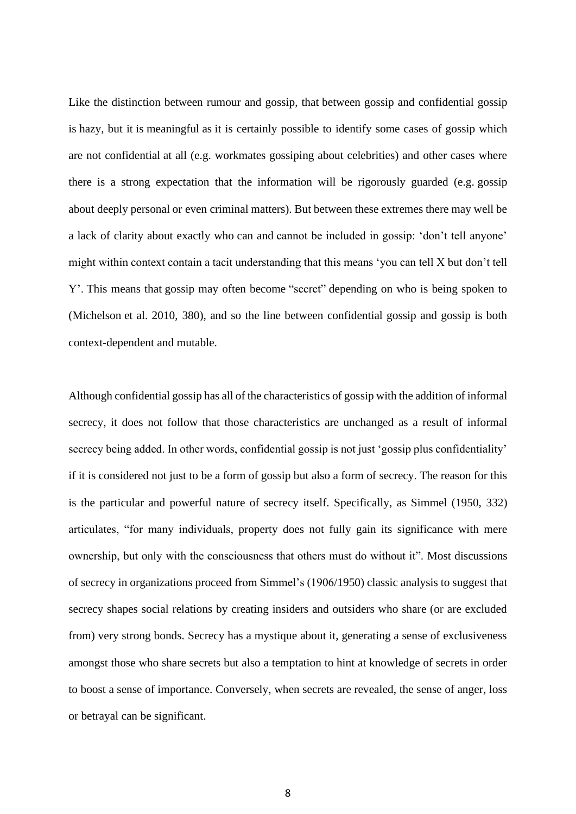Like the distinction between rumour and gossip, that between gossip and confidential gossip is hazy, but it is meaningful as it is certainly possible to identify some cases of gossip which are not confidential at all (e.g. workmates gossiping about celebrities) and other cases where there is a strong expectation that the information will be rigorously guarded (e.g. gossip about deeply personal or even criminal matters). But between these extremes there may well be a lack of clarity about exactly who can and cannot be included in gossip: 'don't tell anyone' might within context contain a tacit understanding that this means 'you can tell X but don't tell Y'. This means that gossip may often become "secret" depending on who is being spoken to (Michelson et al. 2010, 380), and so the line between confidential gossip and gossip is both context-dependent and mutable.

Although confidential gossip has all of the characteristics of gossip with the addition of informal secrecy, it does not follow that those characteristics are unchanged as a result of informal secrecy being added. In other words, confidential gossip is not just 'gossip plus confidentiality' if it is considered not just to be a form of gossip but also a form of secrecy. The reason for this is the particular and powerful nature of secrecy itself. Specifically, as Simmel (1950, 332) articulates, "for many individuals, property does not fully gain its significance with mere ownership, but only with the consciousness that others must do without it". Most discussions of secrecy in organizations proceed from Simmel's (1906/1950) classic analysis to suggest that secrecy shapes social relations by creating insiders and outsiders who share (or are excluded from) very strong bonds. Secrecy has a mystique about it, generating a sense of exclusiveness amongst those who share secrets but also a temptation to hint at knowledge of secrets in order to boost a sense of importance. Conversely, when secrets are revealed, the sense of anger, loss or betrayal can be significant.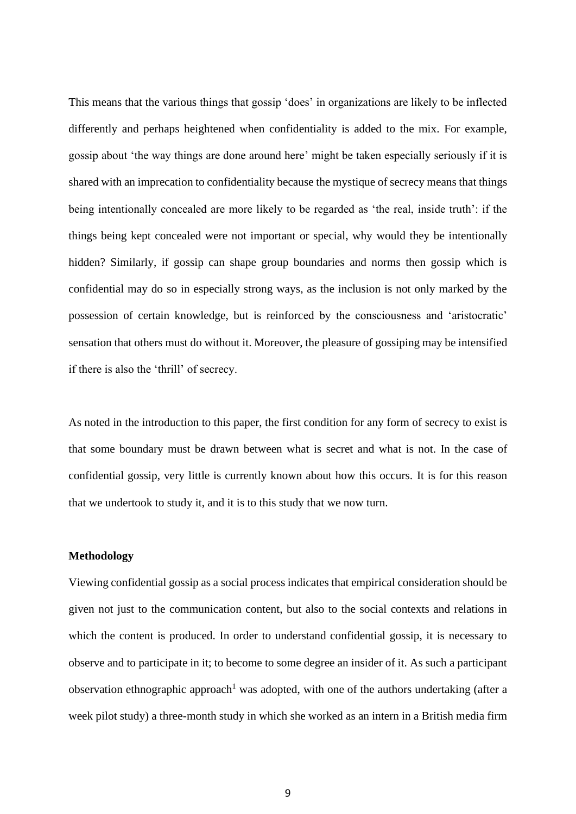This means that the various things that gossip 'does' in organizations are likely to be inflected differently and perhaps heightened when confidentiality is added to the mix. For example, gossip about 'the way things are done around here' might be taken especially seriously if it is shared with an imprecation to confidentiality because the mystique of secrecy means that things being intentionally concealed are more likely to be regarded as 'the real, inside truth': if the things being kept concealed were not important or special, why would they be intentionally hidden? Similarly, if gossip can shape group boundaries and norms then gossip which is confidential may do so in especially strong ways, as the inclusion is not only marked by the possession of certain knowledge, but is reinforced by the consciousness and 'aristocratic' sensation that others must do without it. Moreover, the pleasure of gossiping may be intensified if there is also the 'thrill' of secrecy.

As noted in the introduction to this paper, the first condition for any form of secrecy to exist is that some boundary must be drawn between what is secret and what is not. In the case of confidential gossip, very little is currently known about how this occurs. It is for this reason that we undertook to study it, and it is to this study that we now turn.

#### **Methodology**

Viewing confidential gossip as a social process indicates that empirical consideration should be given not just to the communication content, but also to the social contexts and relations in which the content is produced. In order to understand confidential gossip, it is necessary to observe and to participate in it; to become to some degree an insider of it. As such a participant observation ethnographic approach<sup>1</sup> was adopted, with one of the authors undertaking (after a week pilot study) a three-month study in which she worked as an intern in a British media firm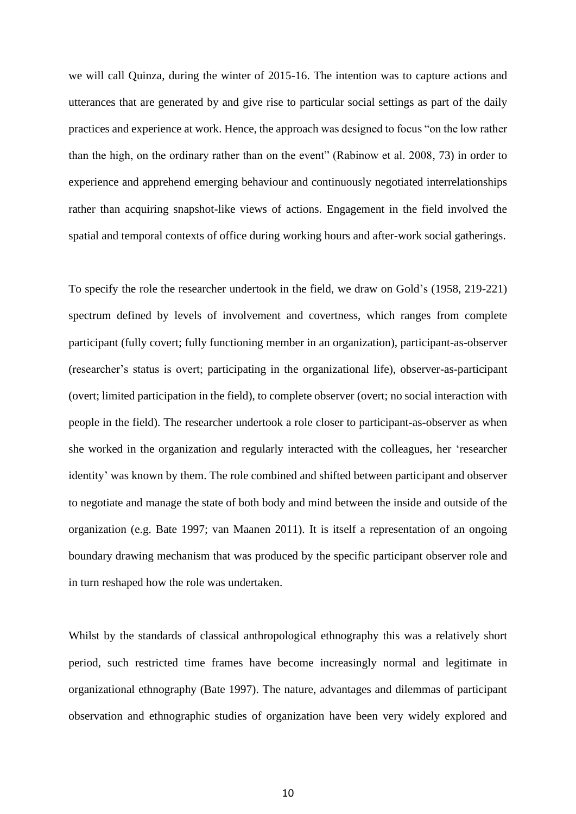we will call Quinza, during the winter of 2015-16. The intention was to capture actions and utterances that are generated by and give rise to particular social settings as part of the daily practices and experience at work. Hence, the approach was designed to focus "on the low rather than the high, on the ordinary rather than on the event" (Rabinow et al. 2008, 73) in order to experience and apprehend emerging behaviour and continuously negotiated interrelationships rather than acquiring snapshot-like views of actions. Engagement in the field involved the spatial and temporal contexts of office during working hours and after-work social gatherings.

To specify the role the researcher undertook in the field, we draw on Gold's (1958, 219-221) spectrum defined by levels of involvement and covertness, which ranges from complete participant (fully covert; fully functioning member in an organization), participant-as-observer (researcher's status is overt; participating in the organizational life), observer-as-participant (overt; limited participation in the field), to complete observer (overt; no social interaction with people in the field). The researcher undertook a role closer to participant-as-observer as when she worked in the organization and regularly interacted with the colleagues, her 'researcher identity' was known by them. The role combined and shifted between participant and observer to negotiate and manage the state of both body and mind between the inside and outside of the organization (e.g. Bate 1997; van Maanen 2011). It is itself a representation of an ongoing boundary drawing mechanism that was produced by the specific participant observer role and in turn reshaped how the role was undertaken.

Whilst by the standards of classical anthropological ethnography this was a relatively short period, such restricted time frames have become increasingly normal and legitimate in organizational ethnography (Bate 1997). The nature, advantages and dilemmas of participant observation and ethnographic studies of organization have been very widely explored and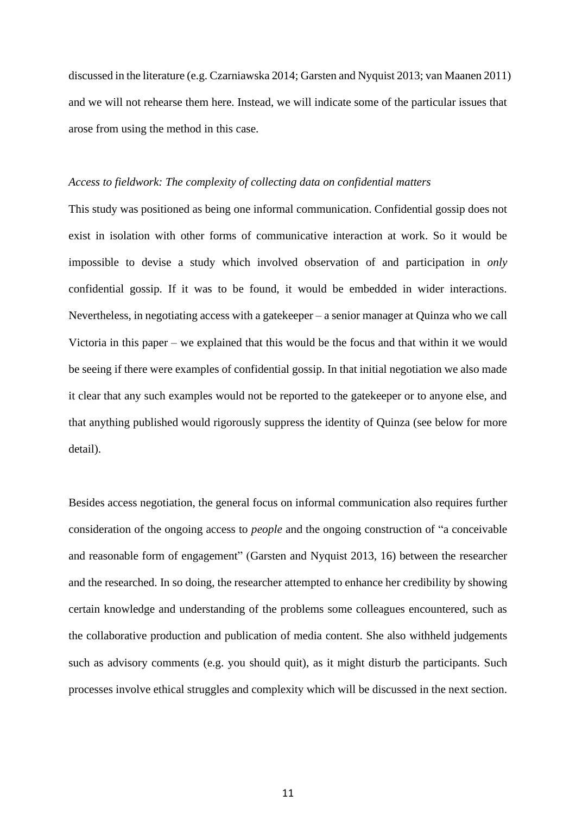discussed in the literature (e.g. Czarniawska 2014; Garsten and Nyquist 2013; van Maanen 2011) and we will not rehearse them here. Instead, we will indicate some of the particular issues that arose from using the method in this case.

#### *Access to fieldwork: The complexity of collecting data on confidential matters*

This study was positioned as being one informal communication. Confidential gossip does not exist in isolation with other forms of communicative interaction at work. So it would be impossible to devise a study which involved observation of and participation in *only* confidential gossip. If it was to be found, it would be embedded in wider interactions. Nevertheless, in negotiating access with a gatekeeper – a senior manager at Quinza who we call Victoria in this paper – we explained that this would be the focus and that within it we would be seeing if there were examples of confidential gossip. In that initial negotiation we also made it clear that any such examples would not be reported to the gatekeeper or to anyone else, and that anything published would rigorously suppress the identity of Quinza (see below for more detail).

Besides access negotiation, the general focus on informal communication also requires further consideration of the ongoing access to *people* and the ongoing construction of "a conceivable and reasonable form of engagement" (Garsten and Nyquist 2013, 16) between the researcher and the researched. In so doing, the researcher attempted to enhance her credibility by showing certain knowledge and understanding of the problems some colleagues encountered, such as the collaborative production and publication of media content. She also withheld judgements such as advisory comments (e.g. you should quit), as it might disturb the participants. Such processes involve ethical struggles and complexity which will be discussed in the next section.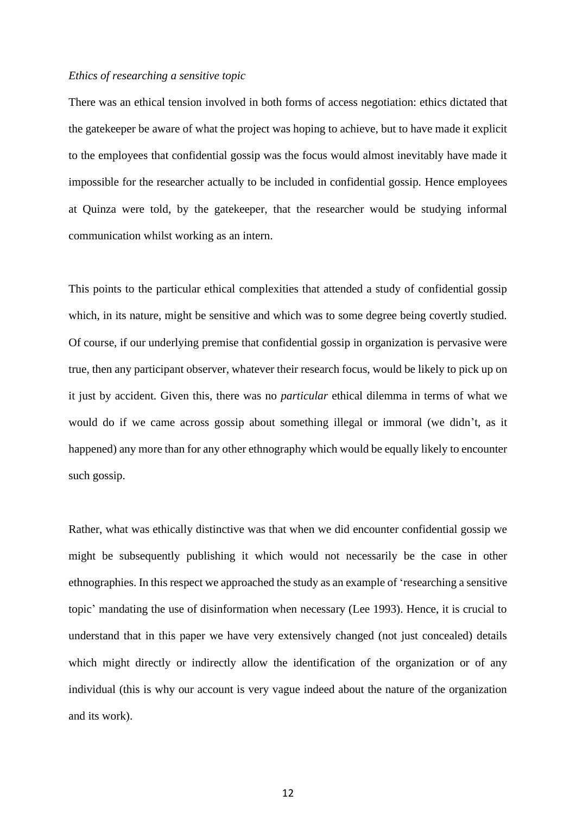## *Ethics of researching a sensitive topic*

There was an ethical tension involved in both forms of access negotiation: ethics dictated that the gatekeeper be aware of what the project was hoping to achieve, but to have made it explicit to the employees that confidential gossip was the focus would almost inevitably have made it impossible for the researcher actually to be included in confidential gossip. Hence employees at Quinza were told, by the gatekeeper, that the researcher would be studying informal communication whilst working as an intern.

This points to the particular ethical complexities that attended a study of confidential gossip which, in its nature, might be sensitive and which was to some degree being covertly studied. Of course, if our underlying premise that confidential gossip in organization is pervasive were true, then any participant observer, whatever their research focus, would be likely to pick up on it just by accident. Given this, there was no *particular* ethical dilemma in terms of what we would do if we came across gossip about something illegal or immoral (we didn't, as it happened) any more than for any other ethnography which would be equally likely to encounter such gossip.

Rather, what was ethically distinctive was that when we did encounter confidential gossip we might be subsequently publishing it which would not necessarily be the case in other ethnographies. In this respect we approached the study as an example of 'researching a sensitive topic' mandating the use of disinformation when necessary (Lee 1993). Hence, it is crucial to understand that in this paper we have very extensively changed (not just concealed) details which might directly or indirectly allow the identification of the organization or of any individual (this is why our account is very vague indeed about the nature of the organization and its work).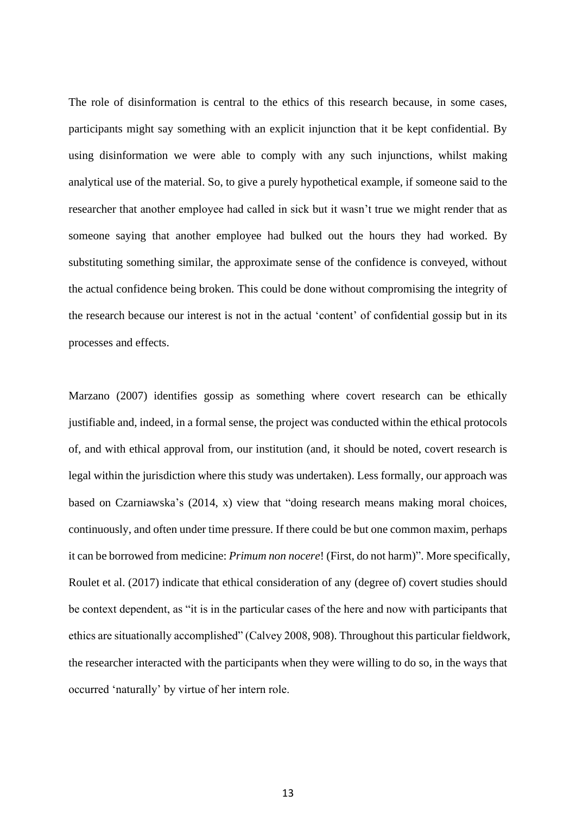The role of disinformation is central to the ethics of this research because, in some cases, participants might say something with an explicit injunction that it be kept confidential. By using disinformation we were able to comply with any such injunctions, whilst making analytical use of the material. So, to give a purely hypothetical example, if someone said to the researcher that another employee had called in sick but it wasn't true we might render that as someone saying that another employee had bulked out the hours they had worked. By substituting something similar, the approximate sense of the confidence is conveyed, without the actual confidence being broken. This could be done without compromising the integrity of the research because our interest is not in the actual 'content' of confidential gossip but in its processes and effects.

Marzano (2007) identifies gossip as something where covert research can be ethically justifiable and, indeed, in a formal sense, the project was conducted within the ethical protocols of, and with ethical approval from, our institution (and, it should be noted, covert research is legal within the jurisdiction where this study was undertaken). Less formally, our approach was based on Czarniawska's (2014, x) view that "doing research means making moral choices, continuously, and often under time pressure. If there could be but one common maxim, perhaps it can be borrowed from medicine: *Primum non nocere*! (First, do not harm)". More specifically, Roulet et al. (2017) indicate that ethical consideration of any (degree of) covert studies should be context dependent, as "it is in the particular cases of the here and now with participants that ethics are situationally accomplished" (Calvey 2008, 908). Throughout this particular fieldwork, the researcher interacted with the participants when they were willing to do so, in the ways that occurred 'naturally' by virtue of her intern role.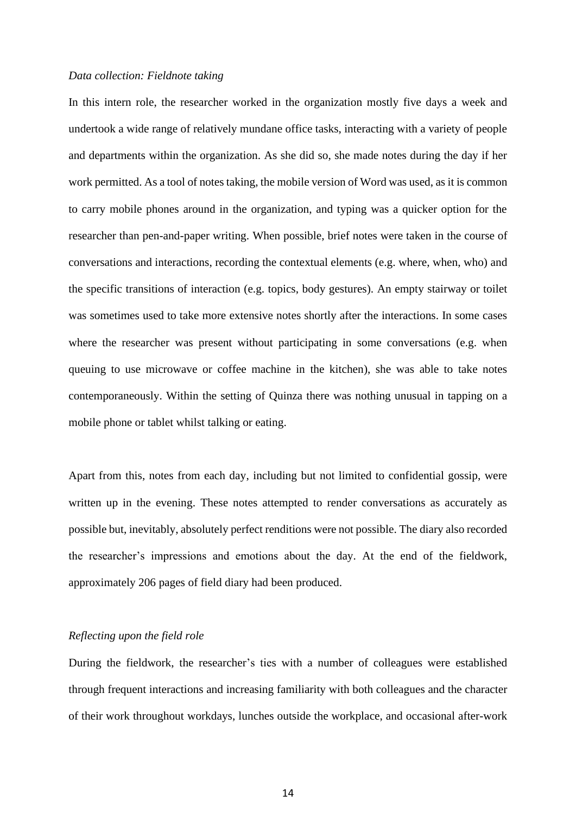#### *Data collection: Fieldnote taking*

In this intern role, the researcher worked in the organization mostly five days a week and undertook a wide range of relatively mundane office tasks, interacting with a variety of people and departments within the organization. As she did so, she made notes during the day if her work permitted. As a tool of notes taking, the mobile version of Word was used, as it is common to carry mobile phones around in the organization, and typing was a quicker option for the researcher than pen-and-paper writing. When possible, brief notes were taken in the course of conversations and interactions, recording the contextual elements (e.g. where, when, who) and the specific transitions of interaction (e.g. topics, body gestures). An empty stairway or toilet was sometimes used to take more extensive notes shortly after the interactions. In some cases where the researcher was present without participating in some conversations (e.g. when queuing to use microwave or coffee machine in the kitchen), she was able to take notes contemporaneously. Within the setting of Quinza there was nothing unusual in tapping on a mobile phone or tablet whilst talking or eating.

Apart from this, notes from each day, including but not limited to confidential gossip, were written up in the evening. These notes attempted to render conversations as accurately as possible but, inevitably, absolutely perfect renditions were not possible. The diary also recorded the researcher's impressions and emotions about the day. At the end of the fieldwork, approximately 206 pages of field diary had been produced.

## *Reflecting upon the field role*

During the fieldwork, the researcher's ties with a number of colleagues were established through frequent interactions and increasing familiarity with both colleagues and the character of their work throughout workdays, lunches outside the workplace, and occasional after-work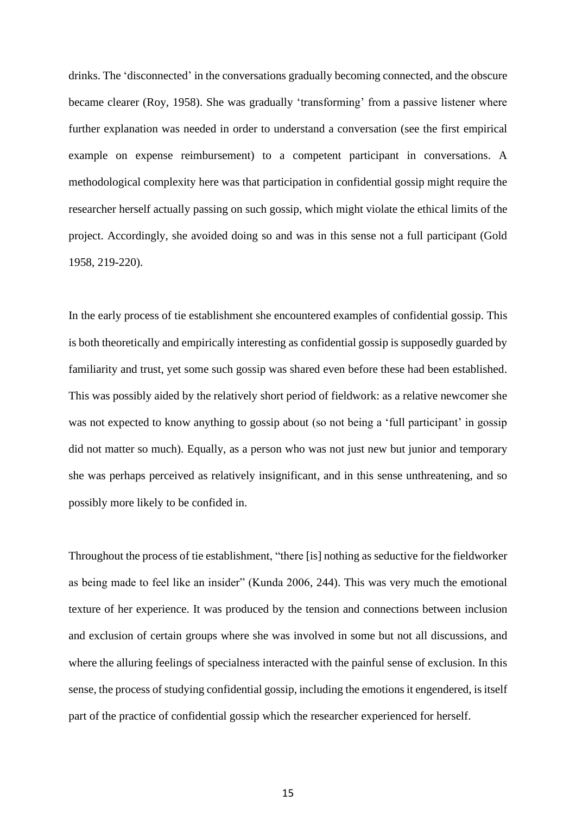drinks. The 'disconnected' in the conversations gradually becoming connected, and the obscure became clearer (Roy, 1958). She was gradually 'transforming' from a passive listener where further explanation was needed in order to understand a conversation (see the first empirical example on expense reimbursement) to a competent participant in conversations. A methodological complexity here was that participation in confidential gossip might require the researcher herself actually passing on such gossip, which might violate the ethical limits of the project. Accordingly, she avoided doing so and was in this sense not a full participant (Gold 1958, 219-220).

In the early process of tie establishment she encountered examples of confidential gossip. This is both theoretically and empirically interesting as confidential gossip is supposedly guarded by familiarity and trust, yet some such gossip was shared even before these had been established. This was possibly aided by the relatively short period of fieldwork: as a relative newcomer she was not expected to know anything to gossip about (so not being a 'full participant' in gossip did not matter so much). Equally, as a person who was not just new but junior and temporary she was perhaps perceived as relatively insignificant, and in this sense unthreatening, and so possibly more likely to be confided in.

Throughout the process of tie establishment, "there [is] nothing as seductive for the fieldworker as being made to feel like an insider" (Kunda 2006, 244). This was very much the emotional texture of her experience. It was produced by the tension and connections between inclusion and exclusion of certain groups where she was involved in some but not all discussions, and where the alluring feelings of specialness interacted with the painful sense of exclusion. In this sense, the process of studying confidential gossip, including the emotions it engendered, is itself part of the practice of confidential gossip which the researcher experienced for herself.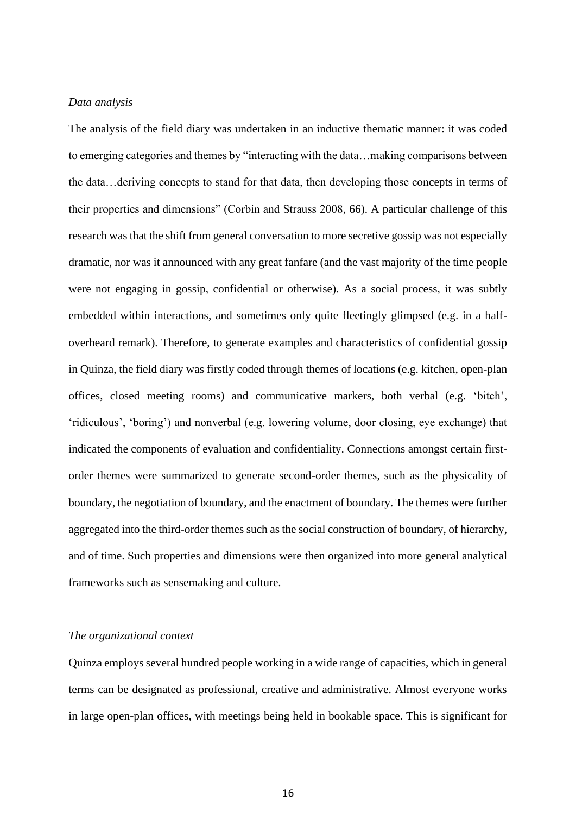## *Data analysis*

The analysis of the field diary was undertaken in an inductive thematic manner: it was coded to emerging categories and themes by "interacting with the data…making comparisons between the data…deriving concepts to stand for that data, then developing those concepts in terms of their properties and dimensions" (Corbin and Strauss 2008, 66). A particular challenge of this research was that the shift from general conversation to more secretive gossip was not especially dramatic, nor was it announced with any great fanfare (and the vast majority of the time people were not engaging in gossip, confidential or otherwise). As a social process, it was subtly embedded within interactions, and sometimes only quite fleetingly glimpsed (e.g. in a halfoverheard remark). Therefore, to generate examples and characteristics of confidential gossip in Quinza, the field diary was firstly coded through themes of locations (e.g. kitchen, open-plan offices, closed meeting rooms) and communicative markers, both verbal (e.g. 'bitch', 'ridiculous', 'boring') and nonverbal (e.g. lowering volume, door closing, eye exchange) that indicated the components of evaluation and confidentiality. Connections amongst certain firstorder themes were summarized to generate second-order themes, such as the physicality of boundary, the negotiation of boundary, and the enactment of boundary. The themes were further aggregated into the third-order themes such as the social construction of boundary, of hierarchy, and of time. Such properties and dimensions were then organized into more general analytical frameworks such as sensemaking and culture.

## *The organizational context*

Quinza employs several hundred people working in a wide range of capacities, which in general terms can be designated as professional, creative and administrative. Almost everyone works in large open-plan offices, with meetings being held in bookable space. This is significant for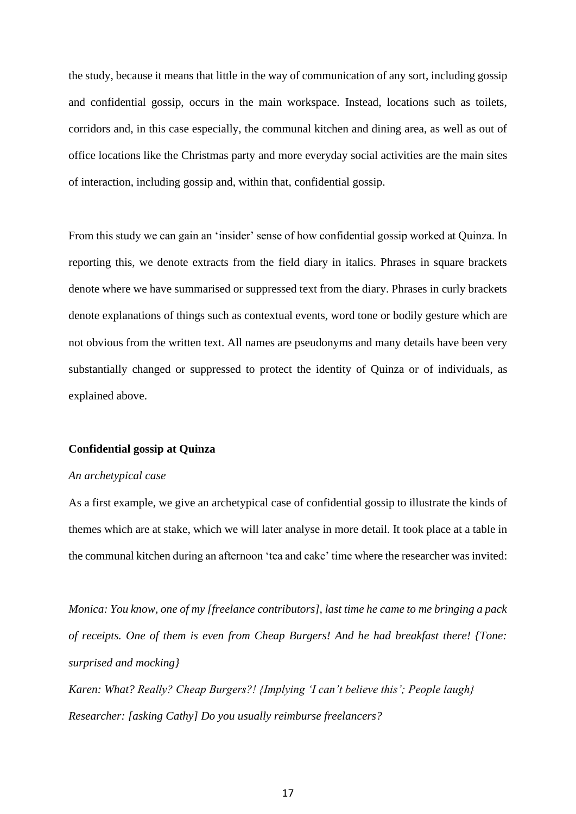the study, because it means that little in the way of communication of any sort, including gossip and confidential gossip, occurs in the main workspace. Instead, locations such as toilets, corridors and, in this case especially, the communal kitchen and dining area, as well as out of office locations like the Christmas party and more everyday social activities are the main sites of interaction, including gossip and, within that, confidential gossip.

From this study we can gain an 'insider' sense of how confidential gossip worked at Quinza. In reporting this, we denote extracts from the field diary in italics. Phrases in square brackets denote where we have summarised or suppressed text from the diary. Phrases in curly brackets denote explanations of things such as contextual events, word tone or bodily gesture which are not obvious from the written text. All names are pseudonyms and many details have been very substantially changed or suppressed to protect the identity of Quinza or of individuals, as explained above.

# **Confidential gossip at Quinza**

# *An archetypical case*

As a first example, we give an archetypical case of confidential gossip to illustrate the kinds of themes which are at stake, which we will later analyse in more detail. It took place at a table in the communal kitchen during an afternoon 'tea and cake' time where the researcher was invited:

*Monica: You know, one of my [freelance contributors], last time he came to me bringing a pack of receipts. One of them is even from Cheap Burgers! And he had breakfast there! {Tone: surprised and mocking}*

*Karen: What? Really? Cheap Burgers?! {Implying 'I can't believe this'; People laugh} Researcher: [asking Cathy] Do you usually reimburse freelancers?*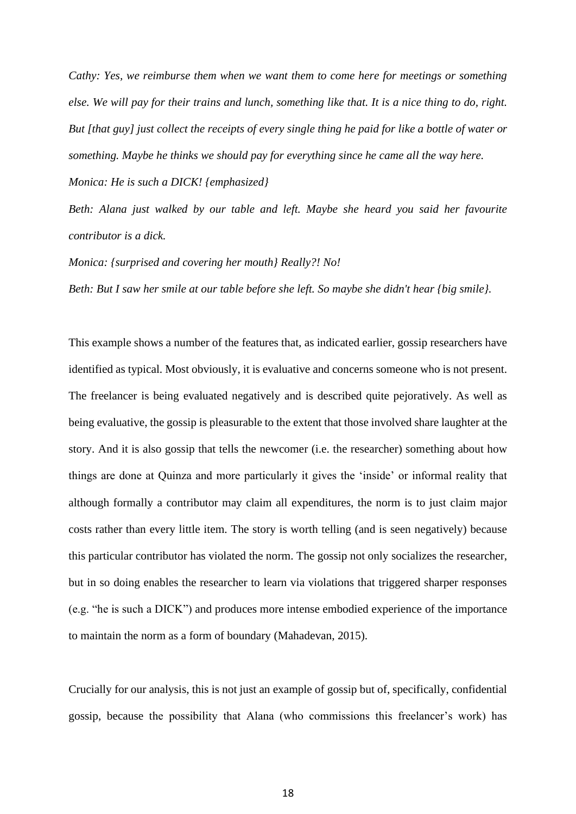*Cathy: Yes, we reimburse them when we want them to come here for meetings or something else. We will pay for their trains and lunch, something like that. It is a nice thing to do, right. But [that guy] just collect the receipts of every single thing he paid for like a bottle of water or something. Maybe he thinks we should pay for everything since he came all the way here.*

*Monica: He is such a DICK! {emphasized}* 

*Beth: Alana just walked by our table and left. Maybe she heard you said her favourite contributor is a dick.* 

*Monica: {surprised and covering her mouth} Really?! No!*

*Beth: But I saw her smile at our table before she left. So maybe she didn't hear {big smile}.* 

This example shows a number of the features that, as indicated earlier, gossip researchers have identified as typical. Most obviously, it is evaluative and concerns someone who is not present. The freelancer is being evaluated negatively and is described quite pejoratively. As well as being evaluative, the gossip is pleasurable to the extent that those involved share laughter at the story. And it is also gossip that tells the newcomer (i.e. the researcher) something about how things are done at Quinza and more particularly it gives the 'inside' or informal reality that although formally a contributor may claim all expenditures, the norm is to just claim major costs rather than every little item. The story is worth telling (and is seen negatively) because this particular contributor has violated the norm. The gossip not only socializes the researcher, but in so doing enables the researcher to learn via violations that triggered sharper responses (e.g. "he is such a DICK") and produces more intense embodied experience of the importance to maintain the norm as a form of boundary (Mahadevan, 2015).

Crucially for our analysis, this is not just an example of gossip but of, specifically, confidential gossip, because the possibility that Alana (who commissions this freelancer's work) has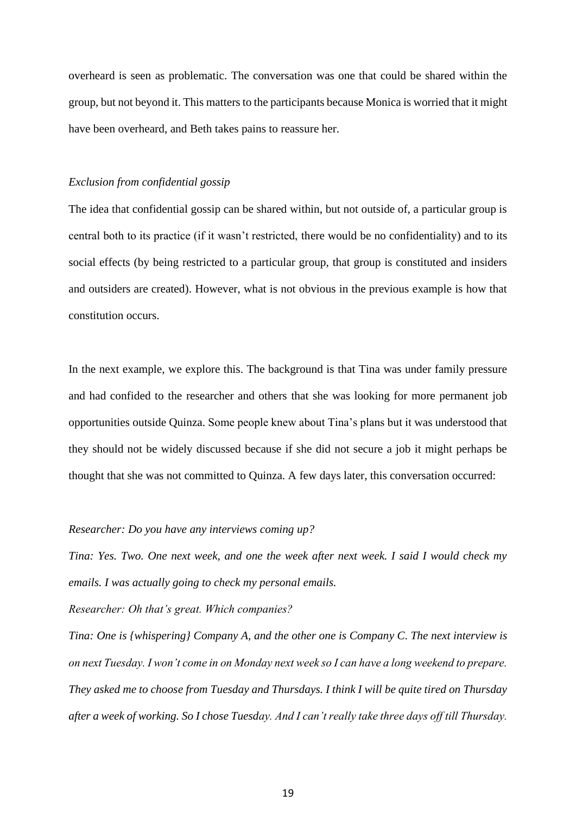overheard is seen as problematic. The conversation was one that could be shared within the group, but not beyond it. This matters to the participants because Monica is worried that it might have been overheard, and Beth takes pains to reassure her.

### *Exclusion from confidential gossip*

The idea that confidential gossip can be shared within, but not outside of, a particular group is central both to its practice (if it wasn't restricted, there would be no confidentiality) and to its social effects (by being restricted to a particular group, that group is constituted and insiders and outsiders are created). However, what is not obvious in the previous example is how that constitution occurs.

In the next example, we explore this. The background is that Tina was under family pressure and had confided to the researcher and others that she was looking for more permanent job opportunities outside Quinza. Some people knew about Tina's plans but it was understood that they should not be widely discussed because if she did not secure a job it might perhaps be thought that she was not committed to Quinza. A few days later, this conversation occurred:

## *Researcher: Do you have any interviews coming up?*

*Tina: Yes. Two. One next week, and one the week after next week. I said I would check my emails. I was actually going to check my personal emails.*

*Researcher: Oh that's great. Which companies?*

*Tina: One is {whispering} Company A, and the other one is Company C. The next interview is on next Tuesday. I won't come in on Monday next week so I can have a long weekend to prepare. They asked me to choose from Tuesday and Thursdays. I think I will be quite tired on Thursday after a week of working. So I chose Tuesday. And I can't really take three days off till Thursday.*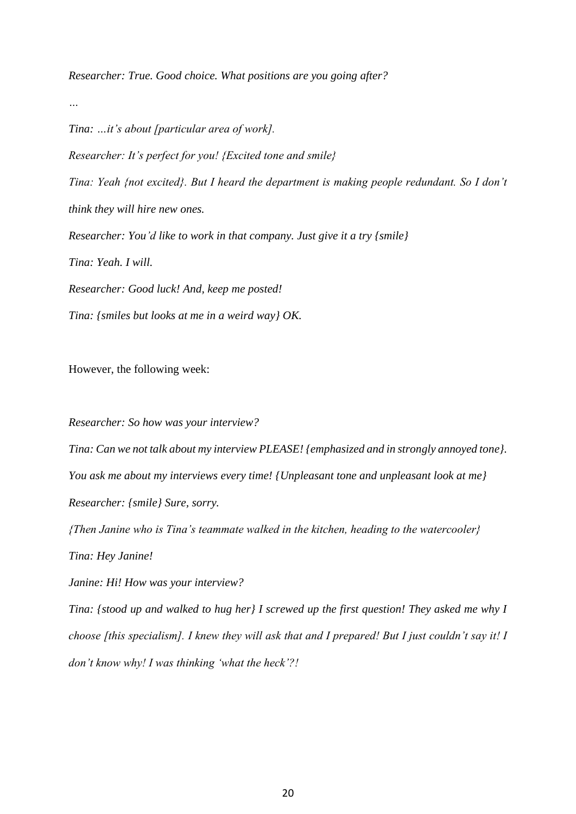*Researcher: True. Good choice. What positions are you going after?*

*…*

*Tina: …it's about [particular area of work]. Researcher: It's perfect for you! {Excited tone and smile} Tina: Yeah {not excited}. But I heard the department is making people redundant. So I don't think they will hire new ones. Researcher: You'd like to work in that company. Just give it a try {smile} Tina: Yeah. I will. Researcher: Good luck! And, keep me posted! Tina: {smiles but looks at me in a weird way} OK.*

However, the following week:

*Researcher: So how was your interview?*

*Tina: Can we not talk about my interview PLEASE! {emphasized and in strongly annoyed tone}. You ask me about my interviews every time! {Unpleasant tone and unpleasant look at me} Researcher: {smile} Sure, sorry.* 

*{Then Janine who is Tina's teammate walked in the kitchen, heading to the watercooler} Tina: Hey Janine!* 

*Janine: Hi! How was your interview?*

*Tina: {stood up and walked to hug her} I screwed up the first question! They asked me why I choose [this specialism]. I knew they will ask that and I prepared! But I just couldn't say it! I don't know why! I was thinking 'what the heck'?!*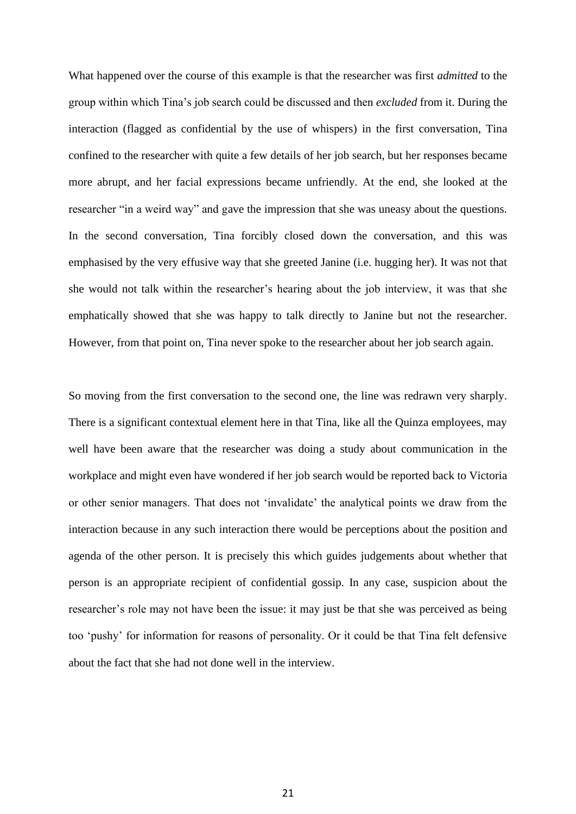What happened over the course of this example is that the researcher was first *admitted* to the group within which Tina's job search could be discussed and then *excluded* from it. During the interaction (flagged as confidential by the use of whispers) in the first conversation, Tina confined to the researcher with quite a few details of her job search, but her responses became more abrupt, and her facial expressions became unfriendly. At the end, she looked at the researcher "in a weird way" and gave the impression that she was uneasy about the questions. In the second conversation, Tina forcibly closed down the conversation, and this was emphasised by the very effusive way that she greeted Janine (i.e. hugging her). It was not that she would not talk within the researcher's hearing about the job interview, it was that she emphatically showed that she was happy to talk directly to Janine but not the researcher. However, from that point on, Tina never spoke to the researcher about her job search again.

So moving from the first conversation to the second one, the line was redrawn very sharply. There is a significant contextual element here in that Tina, like all the Quinza employees, may well have been aware that the researcher was doing a study about communication in the workplace and might even have wondered if her job search would be reported back to Victoria or other senior managers. That does not 'invalidate' the analytical points we draw from the interaction because in any such interaction there would be perceptions about the position and agenda of the other person. It is precisely this which guides judgements about whether that person is an appropriate recipient of confidential gossip. In any case, suspicion about the researcher's role may not have been the issue: it may just be that she was perceived as being too 'pushy' for information for reasons of personality. Or it could be that Tina felt defensive about the fact that she had not done well in the interview.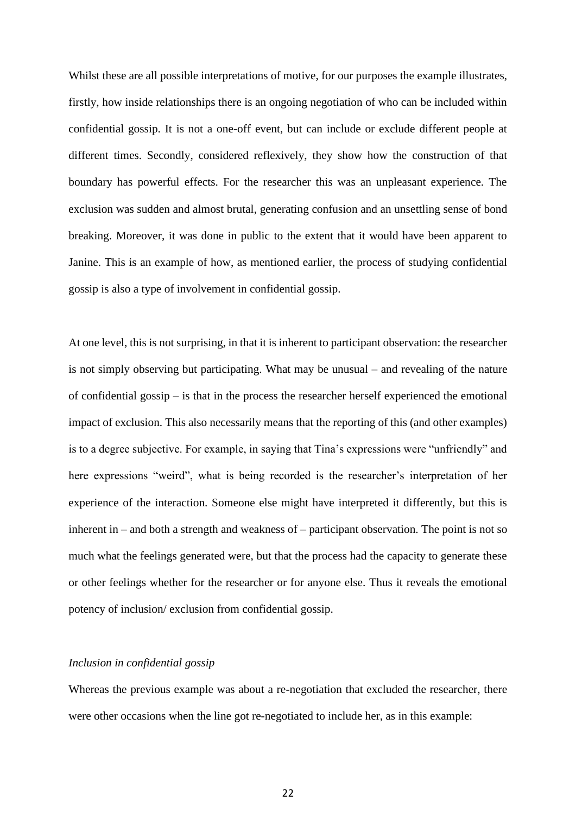Whilst these are all possible interpretations of motive, for our purposes the example illustrates, firstly, how inside relationships there is an ongoing negotiation of who can be included within confidential gossip. It is not a one-off event, but can include or exclude different people at different times. Secondly, considered reflexively, they show how the construction of that boundary has powerful effects. For the researcher this was an unpleasant experience. The exclusion was sudden and almost brutal, generating confusion and an unsettling sense of bond breaking. Moreover, it was done in public to the extent that it would have been apparent to Janine. This is an example of how, as mentioned earlier, the process of studying confidential gossip is also a type of involvement in confidential gossip.

At one level, this is not surprising, in that it is inherent to participant observation: the researcher is not simply observing but participating. What may be unusual – and revealing of the nature of confidential gossip – is that in the process the researcher herself experienced the emotional impact of exclusion. This also necessarily means that the reporting of this (and other examples) is to a degree subjective. For example, in saying that Tina's expressions were "unfriendly" and here expressions "weird", what is being recorded is the researcher's interpretation of her experience of the interaction. Someone else might have interpreted it differently, but this is inherent in – and both a strength and weakness of – participant observation. The point is not so much what the feelings generated were, but that the process had the capacity to generate these or other feelings whether for the researcher or for anyone else. Thus it reveals the emotional potency of inclusion/ exclusion from confidential gossip.

# *Inclusion in confidential gossip*

Whereas the previous example was about a re-negotiation that excluded the researcher, there were other occasions when the line got re-negotiated to include her, as in this example: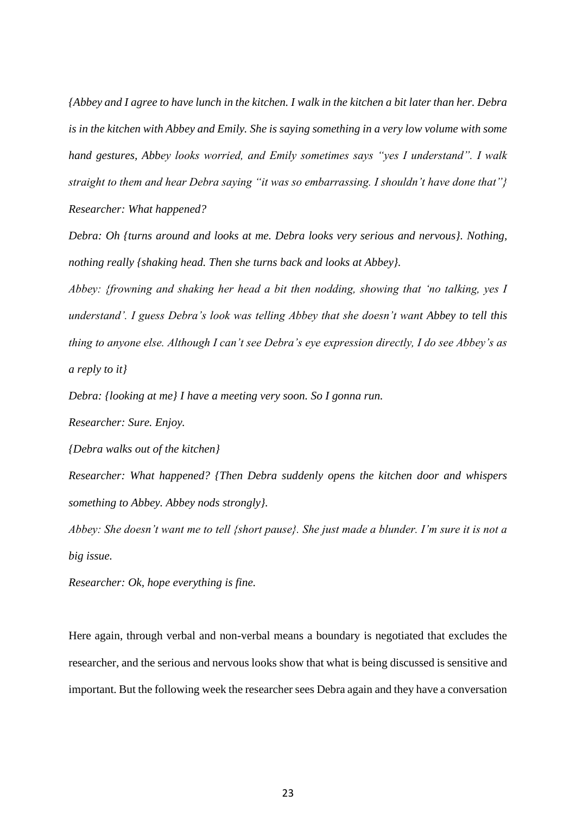*{Abbey and I agree to have lunch in the kitchen. I walk in the kitchen a bit later than her. Debra is in the kitchen with Abbey and Emily. She is saying something in a very low volume with some hand gestures, Abbey looks worried, and Emily sometimes says "yes I understand". I walk straight to them and hear Debra saying "it was so embarrassing. I shouldn't have done that"} Researcher: What happened?*

*Debra: Oh {turns around and looks at me. Debra looks very serious and nervous}. Nothing, nothing really {shaking head. Then she turns back and looks at Abbey}.*

*Abbey: {frowning and shaking her head a bit then nodding, showing that 'no talking, yes I understand'. I guess Debra's look was telling Abbey that she doesn't want Abbey to tell this thing to anyone else. Although I can't see Debra's eye expression directly, I do see Abbey's as a reply to it}*

*Debra: {looking at me} I have a meeting very soon. So I gonna run.* 

*Researcher: Sure. Enjoy.*

*{Debra walks out of the kitchen}*

*Researcher: What happened? {Then Debra suddenly opens the kitchen door and whispers something to Abbey. Abbey nods strongly}.*

*Abbey: She doesn't want me to tell {short pause}. She just made a blunder. I'm sure it is not a big issue.* 

*Researcher: Ok, hope everything is fine.* 

Here again, through verbal and non-verbal means a boundary is negotiated that excludes the researcher, and the serious and nervous looks show that what is being discussed is sensitive and important. But the following week the researcher sees Debra again and they have a conversation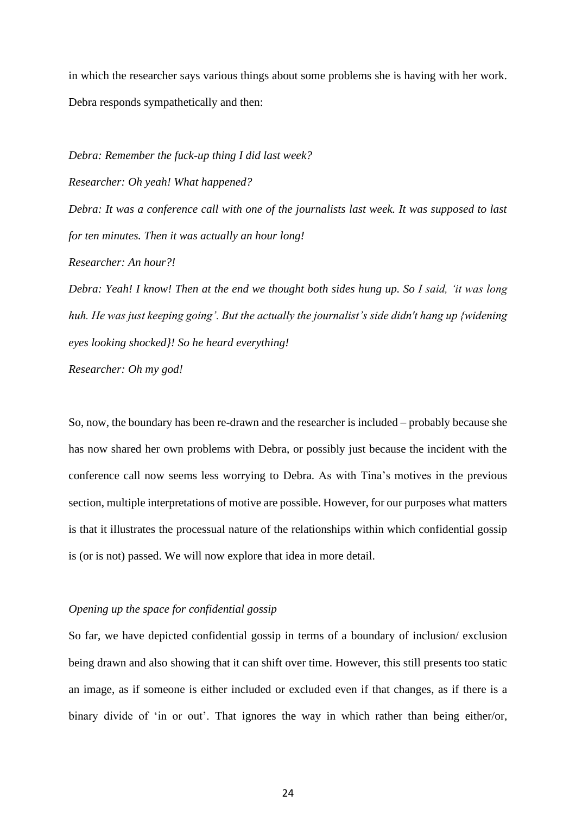in which the researcher says various things about some problems she is having with her work. Debra responds sympathetically and then:

*Debra: Remember the fuck-up thing I did last week? Researcher: Oh yeah! What happened? Debra: It was a conference call with one of the journalists last week. It was supposed to last for ten minutes. Then it was actually an hour long! Researcher: An hour?! Debra: Yeah! I know! Then at the end we thought both sides hung up. So I said, 'it was long huh. He was just keeping going'. But the actually the journalist's side didn't hang up {widening* 

*eyes looking shocked}! So he heard everything!*

*Researcher: Oh my god!*

So, now, the boundary has been re-drawn and the researcher is included – probably because she has now shared her own problems with Debra, or possibly just because the incident with the conference call now seems less worrying to Debra. As with Tina's motives in the previous section, multiple interpretations of motive are possible. However, for our purposes what matters is that it illustrates the processual nature of the relationships within which confidential gossip is (or is not) passed. We will now explore that idea in more detail.

# *Opening up the space for confidential gossip*

So far, we have depicted confidential gossip in terms of a boundary of inclusion/ exclusion being drawn and also showing that it can shift over time. However, this still presents too static an image, as if someone is either included or excluded even if that changes, as if there is a binary divide of 'in or out'. That ignores the way in which rather than being either/or,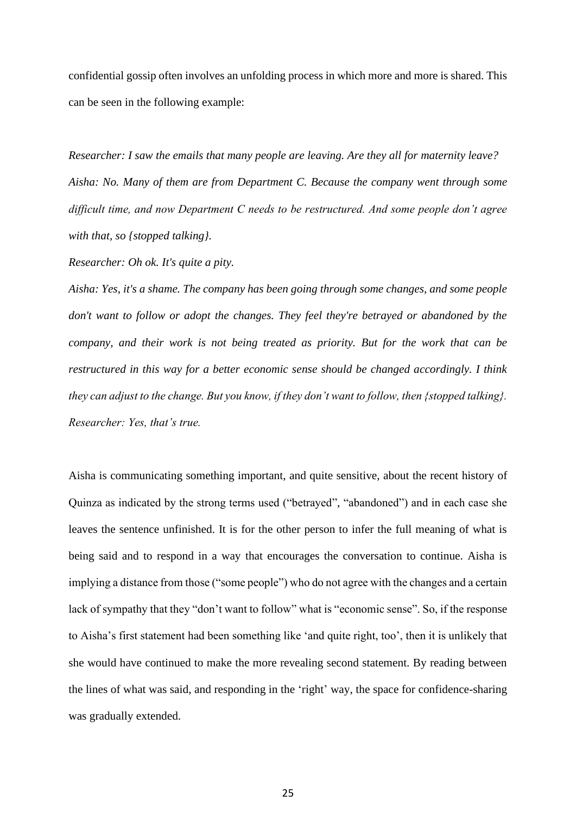confidential gossip often involves an unfolding process in which more and more is shared. This can be seen in the following example:

*Researcher: I saw the emails that many people are leaving. Are they all for maternity leave? Aisha: No. Many of them are from Department C. Because the company went through some difficult time, and now Department C needs to be restructured. And some people don't agree with that, so {stopped talking}.*

*Researcher: Oh ok. It's quite a pity.* 

*Aisha: Yes, it's a shame. The company has been going through some changes, and some people don't want to follow or adopt the changes. They feel they're betrayed or abandoned by the company, and their work is not being treated as priority. But for the work that can be restructured in this way for a better economic sense should be changed accordingly. I think they can adjust to the change. But you know, if they don't want to follow, then {stopped talking}. Researcher: Yes, that's true.*

Aisha is communicating something important, and quite sensitive, about the recent history of Quinza as indicated by the strong terms used ("betrayed", "abandoned") and in each case she leaves the sentence unfinished. It is for the other person to infer the full meaning of what is being said and to respond in a way that encourages the conversation to continue. Aisha is implying a distance from those ("some people") who do not agree with the changes and a certain lack of sympathy that they "don't want to follow" what is "economic sense". So, if the response to Aisha's first statement had been something like 'and quite right, too', then it is unlikely that she would have continued to make the more revealing second statement. By reading between the lines of what was said, and responding in the 'right' way, the space for confidence-sharing was gradually extended.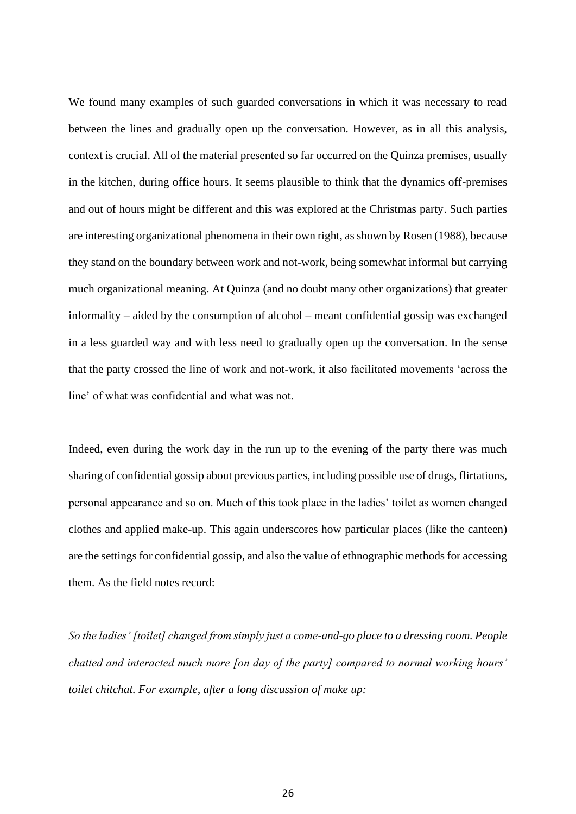We found many examples of such guarded conversations in which it was necessary to read between the lines and gradually open up the conversation. However, as in all this analysis, context is crucial. All of the material presented so far occurred on the Quinza premises, usually in the kitchen, during office hours. It seems plausible to think that the dynamics off-premises and out of hours might be different and this was explored at the Christmas party. Such parties are interesting organizational phenomena in their own right, as shown by Rosen (1988), because they stand on the boundary between work and not-work, being somewhat informal but carrying much organizational meaning. At Quinza (and no doubt many other organizations) that greater informality – aided by the consumption of alcohol – meant confidential gossip was exchanged in a less guarded way and with less need to gradually open up the conversation. In the sense that the party crossed the line of work and not-work, it also facilitated movements 'across the line' of what was confidential and what was not.

Indeed, even during the work day in the run up to the evening of the party there was much sharing of confidential gossip about previous parties, including possible use of drugs, flirtations, personal appearance and so on. Much of this took place in the ladies' toilet as women changed clothes and applied make-up. This again underscores how particular places (like the canteen) are the settings for confidential gossip, and also the value of ethnographic methods for accessing them. As the field notes record:

*So the ladies' [toilet] changed from simply just a come-and-go place to a dressing room. People chatted and interacted much more [on day of the party] compared to normal working hours' toilet chitchat. For example, after a long discussion of make up:*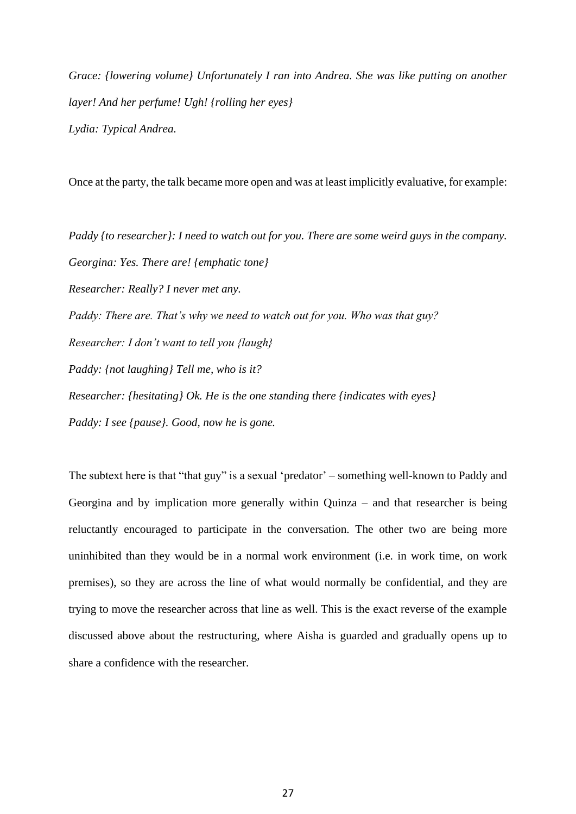*Grace: {lowering volume} Unfortunately I ran into Andrea. She was like putting on another layer! And her perfume! Ugh! {rolling her eyes} Lydia: Typical Andrea.*

Once at the party, the talk became more open and was at least implicitly evaluative, for example:

*Paddy {to researcher}: I need to watch out for you. There are some weird guys in the company. Georgina: Yes. There are! {emphatic tone} Researcher: Really? I never met any. Paddy: There are. That's why we need to watch out for you. Who was that guy? Researcher: I don't want to tell you {laugh} Paddy: {not laughing} Tell me, who is it? Researcher: {hesitating} Ok. He is the one standing there {indicates with eyes} Paddy: I see {pause}. Good, now he is gone.* 

The subtext here is that "that guy" is a sexual 'predator' – something well-known to Paddy and Georgina and by implication more generally within Quinza – and that researcher is being reluctantly encouraged to participate in the conversation. The other two are being more uninhibited than they would be in a normal work environment (i.e. in work time, on work premises), so they are across the line of what would normally be confidential, and they are trying to move the researcher across that line as well. This is the exact reverse of the example discussed above about the restructuring, where Aisha is guarded and gradually opens up to share a confidence with the researcher.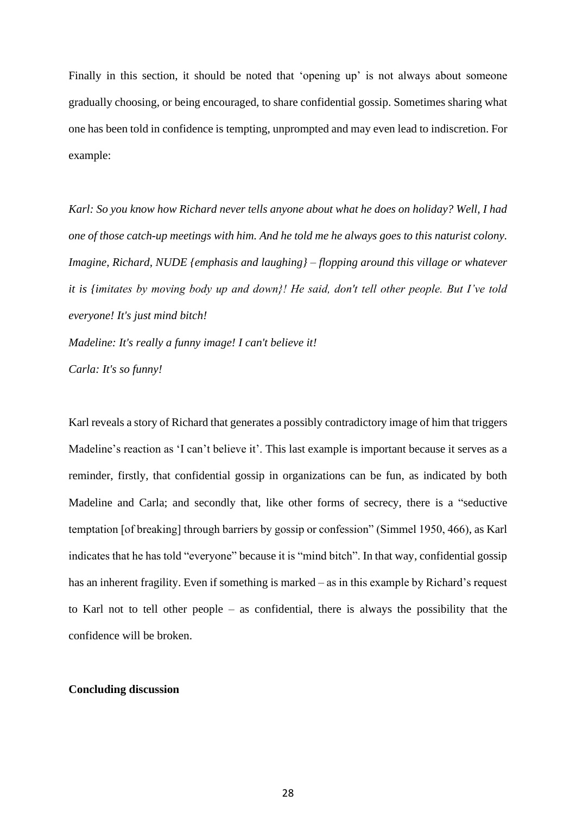Finally in this section, it should be noted that 'opening up' is not always about someone gradually choosing, or being encouraged, to share confidential gossip. Sometimes sharing what one has been told in confidence is tempting, unprompted and may even lead to indiscretion. For example:

*Karl: So you know how Richard never tells anyone about what he does on holiday? Well, I had one of those catch-up meetings with him. And he told me he always goes to this naturist colony. Imagine, Richard, NUDE {emphasis and laughing} – flopping around this village or whatever it is {imitates by moving body up and down}! He said, don't tell other people. But I've told everyone! It's just mind bitch!* 

*Madeline: It's really a funny image! I can't believe it! Carla: It's so funny!*

Karl reveals a story of Richard that generates a possibly contradictory image of him that triggers Madeline's reaction as 'I can't believe it'. This last example is important because it serves as a reminder, firstly, that confidential gossip in organizations can be fun, as indicated by both Madeline and Carla; and secondly that, like other forms of secrecy, there is a "seductive temptation [of breaking] through barriers by gossip or confession" (Simmel 1950, 466), as Karl indicates that he has told "everyone" because it is "mind bitch". In that way, confidential gossip has an inherent fragility. Even if something is marked – as in this example by Richard's request to Karl not to tell other people – as confidential, there is always the possibility that the confidence will be broken.

#### **Concluding discussion**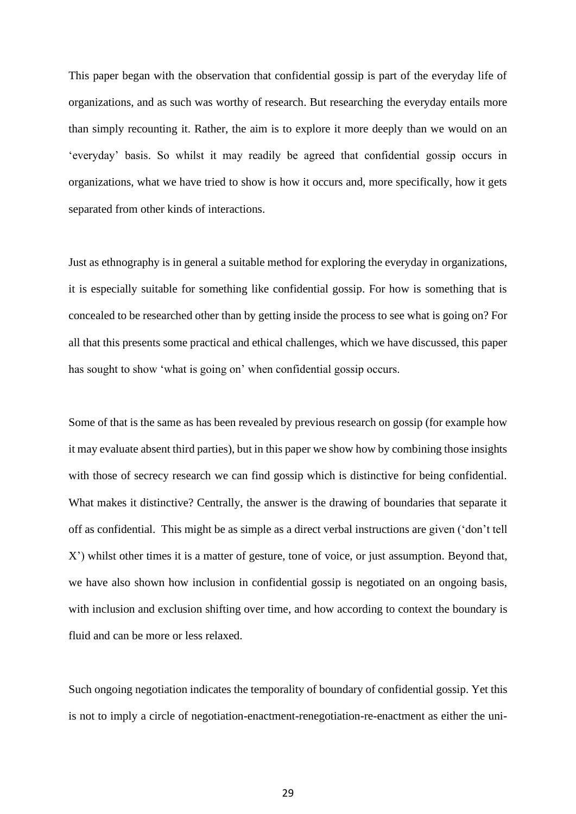This paper began with the observation that confidential gossip is part of the everyday life of organizations, and as such was worthy of research. But researching the everyday entails more than simply recounting it. Rather, the aim is to explore it more deeply than we would on an 'everyday' basis. So whilst it may readily be agreed that confidential gossip occurs in organizations, what we have tried to show is how it occurs and, more specifically, how it gets separated from other kinds of interactions.

Just as ethnography is in general a suitable method for exploring the everyday in organizations, it is especially suitable for something like confidential gossip. For how is something that is concealed to be researched other than by getting inside the process to see what is going on? For all that this presents some practical and ethical challenges, which we have discussed, this paper has sought to show 'what is going on' when confidential gossip occurs.

Some of that is the same as has been revealed by previous research on gossip (for example how it may evaluate absent third parties), but in this paper we show how by combining those insights with those of secrecy research we can find gossip which is distinctive for being confidential. What makes it distinctive? Centrally, the answer is the drawing of boundaries that separate it off as confidential. This might be as simple as a direct verbal instructions are given ('don't tell X') whilst other times it is a matter of gesture, tone of voice, or just assumption. Beyond that, we have also shown how inclusion in confidential gossip is negotiated on an ongoing basis, with inclusion and exclusion shifting over time, and how according to context the boundary is fluid and can be more or less relaxed.

Such ongoing negotiation indicates the temporality of boundary of confidential gossip. Yet this is not to imply a circle of negotiation-enactment-renegotiation-re-enactment as either the uni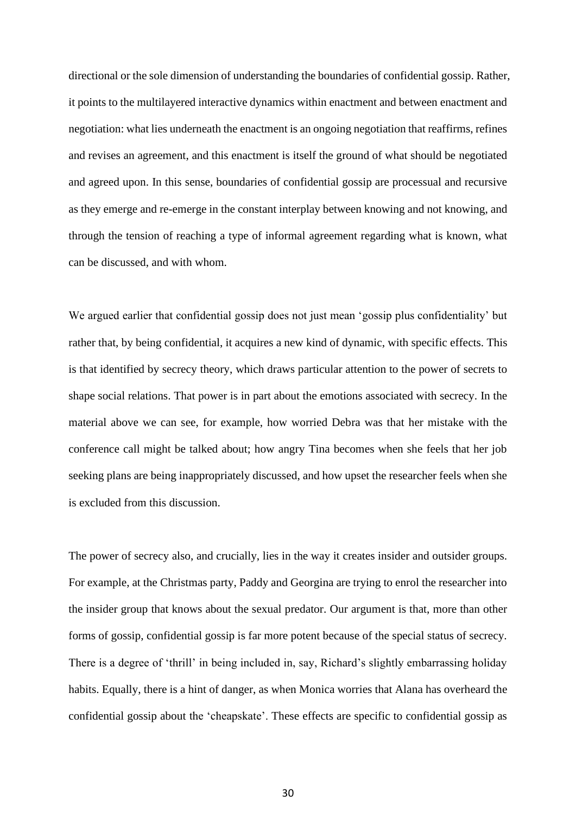directional or the sole dimension of understanding the boundaries of confidential gossip. Rather, it points to the multilayered interactive dynamics within enactment and between enactment and negotiation: what lies underneath the enactment is an ongoing negotiation that reaffirms, refines and revises an agreement, and this enactment is itself the ground of what should be negotiated and agreed upon. In this sense, boundaries of confidential gossip are processual and recursive as they emerge and re-emerge in the constant interplay between knowing and not knowing, and through the tension of reaching a type of informal agreement regarding what is known, what can be discussed, and with whom.

We argued earlier that confidential gossip does not just mean 'gossip plus confidentiality' but rather that, by being confidential, it acquires a new kind of dynamic, with specific effects. This is that identified by secrecy theory, which draws particular attention to the power of secrets to shape social relations. That power is in part about the emotions associated with secrecy. In the material above we can see, for example, how worried Debra was that her mistake with the conference call might be talked about; how angry Tina becomes when she feels that her job seeking plans are being inappropriately discussed, and how upset the researcher feels when she is excluded from this discussion.

The power of secrecy also, and crucially, lies in the way it creates insider and outsider groups. For example, at the Christmas party, Paddy and Georgina are trying to enrol the researcher into the insider group that knows about the sexual predator. Our argument is that, more than other forms of gossip, confidential gossip is far more potent because of the special status of secrecy. There is a degree of 'thrill' in being included in, say, Richard's slightly embarrassing holiday habits. Equally, there is a hint of danger, as when Monica worries that Alana has overheard the confidential gossip about the 'cheapskate'. These effects are specific to confidential gossip as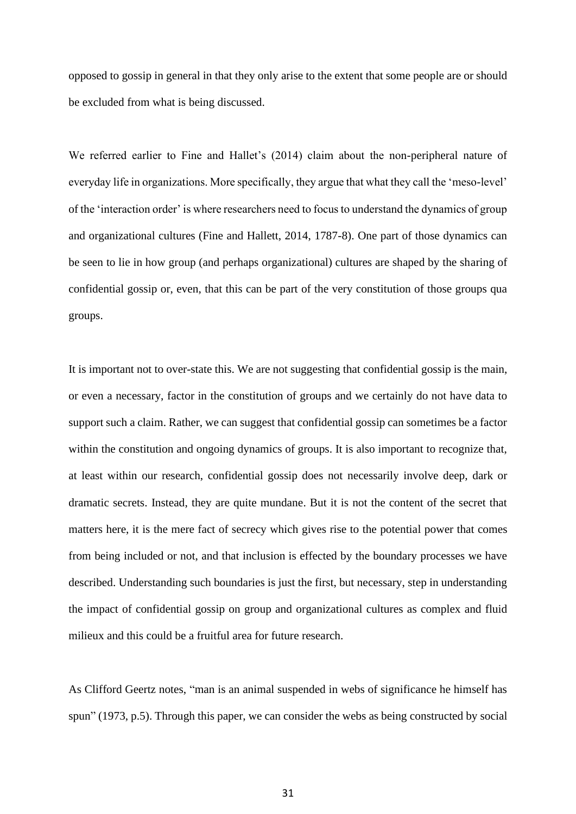opposed to gossip in general in that they only arise to the extent that some people are or should be excluded from what is being discussed.

We referred earlier to Fine and Hallet's (2014) claim about the non-peripheral nature of everyday life in organizations. More specifically, they argue that what they call the 'meso-level' of the 'interaction order' is where researchers need to focus to understand the dynamics of group and organizational cultures (Fine and Hallett, 2014, 1787-8). One part of those dynamics can be seen to lie in how group (and perhaps organizational) cultures are shaped by the sharing of confidential gossip or, even, that this can be part of the very constitution of those groups qua groups.

It is important not to over-state this. We are not suggesting that confidential gossip is the main, or even a necessary, factor in the constitution of groups and we certainly do not have data to support such a claim. Rather, we can suggest that confidential gossip can sometimes be a factor within the constitution and ongoing dynamics of groups. It is also important to recognize that, at least within our research, confidential gossip does not necessarily involve deep, dark or dramatic secrets. Instead, they are quite mundane. But it is not the content of the secret that matters here, it is the mere fact of secrecy which gives rise to the potential power that comes from being included or not, and that inclusion is effected by the boundary processes we have described. Understanding such boundaries is just the first, but necessary, step in understanding the impact of confidential gossip on group and organizational cultures as complex and fluid milieux and this could be a fruitful area for future research.

As Clifford Geertz notes, "man is an animal suspended in webs of significance he himself has spun" (1973, p.5). Through this paper, we can consider the webs as being constructed by social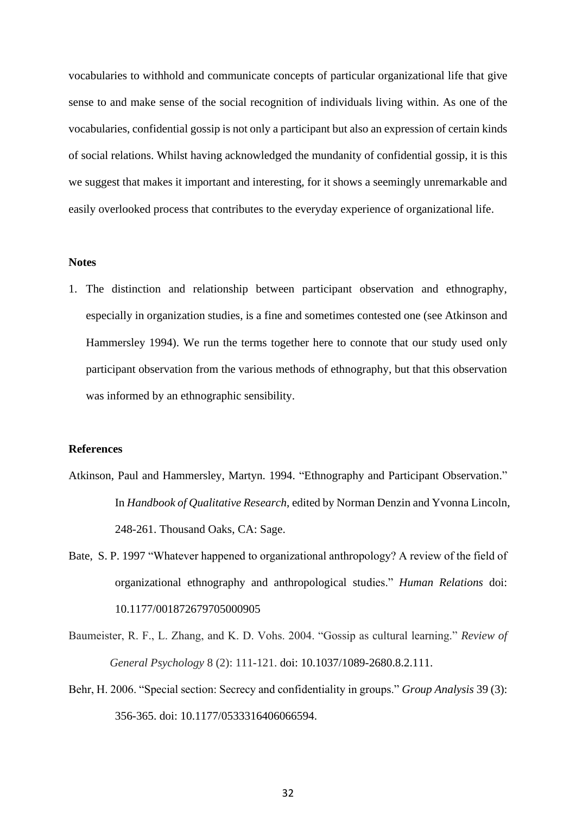vocabularies to withhold and communicate concepts of particular organizational life that give sense to and make sense of the social recognition of individuals living within. As one of the vocabularies, confidential gossip is not only a participant but also an expression of certain kinds of social relations. Whilst having acknowledged the mundanity of confidential gossip, it is this we suggest that makes it important and interesting, for it shows a seemingly unremarkable and easily overlooked process that contributes to the everyday experience of organizational life.

# **Notes**

1. The distinction and relationship between participant observation and ethnography, especially in organization studies, is a fine and sometimes contested one (see Atkinson and Hammersley 1994). We run the terms together here to connote that our study used only participant observation from the various methods of ethnography, but that this observation was informed by an ethnographic sensibility.

## **References**

- Atkinson, Paul and Hammersley, Martyn. 1994. "Ethnography and Participant Observation." In *Handbook of Qualitative Research*, edited by Norman Denzin and Yvonna Lincoln, 248-261. Thousand Oaks, CA: Sage.
- Bate, S. P. 1997 "Whatever happened to organizational anthropology? A review of the field of organizational ethnography and anthropological studies." *Human Relations* doi: [10.1177/001872679705000905](https://doi.org/10.1177%2F001872679705000905)
- Baumeister, R. F., L. Zhang, and K. D. Vohs. 2004. "Gossip as cultural learning." *Review of General Psychology* 8 (2): 111-121. doi: 10.1037/1089-2680.8.2.111.
- Behr, H. 2006. "Special section: Secrecy and confidentiality in groups." *Group Analysis* 39 (3): 356-365. doi: 10.1177/0533316406066594.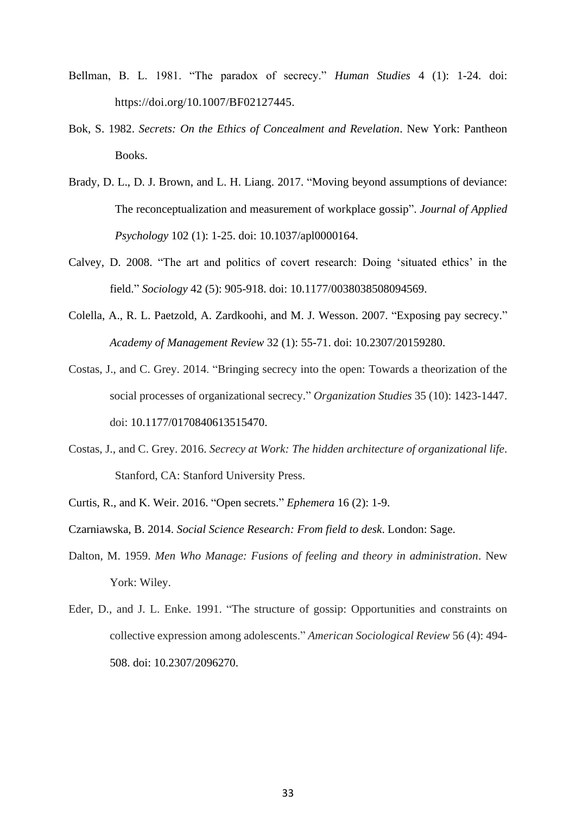- Bellman, B. L. 1981. "The paradox of secrecy." *Human Studies* 4 (1): 1-24. doi: https://doi.org/10.1007/BF02127445.
- Bok, S. 1982. *Secrets: On the Ethics of Concealment and Revelation*. New York: Pantheon Books.
- Brady, D. L., D. J. Brown, and L. H. Liang. 2017. "Moving beyond assumptions of deviance: The reconceptualization and measurement of workplace gossip". *Journal of Applied Psychology* 102 (1): 1-25. doi: 10.1037/apl0000164.
- Calvey, D. 2008. "The art and politics of covert research: Doing 'situated ethics' in the field." *Sociology* 42 (5): 905-918. doi: 10.1177/0038038508094569.
- Colella, A., R. L. Paetzold, A. Zardkoohi, and M. J. Wesson. 2007. "Exposing pay secrecy." *Academy of Management Review* 32 (1): 55-71. doi: 10.2307/20159280.
- Costas, J., and C. Grey. 2014. "Bringing secrecy into the open: Towards a theorization of the social processes of organizational secrecy." *Organization Studies* 35 (10): 1423-1447. doi: 10.1177/0170840613515470.
- Costas, J., and C. Grey. 2016. *Secrecy at Work: The hidden architecture of organizational life*. Stanford, CA: Stanford University Press.
- Curtis, R., and K. Weir. 2016. "Open secrets." *Ephemera* 16 (2): 1-9.
- Czarniawska, B. 2014. *Social Science Research: From field to desk*. London: Sage.
- Dalton, M. 1959. *Men Who Manage: Fusions of feeling and theory in administration*. New York: Wiley.
- Eder, D., and J. L. Enke. 1991. "The structure of gossip: Opportunities and constraints on collective expression among adolescents." *American Sociological Review* 56 (4): 494- 508. doi: 10.2307/2096270.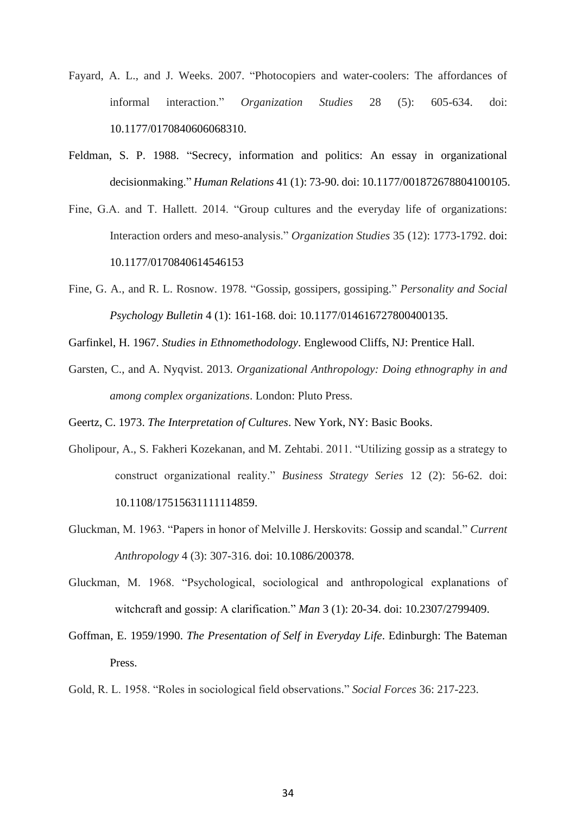- Fayard, A. L., and J. Weeks. 2007. "Photocopiers and water-coolers: The affordances of informal interaction." *Organization Studies* 28 (5): 605-634. doi: 10.1177/0170840606068310.
- Feldman, S. P. 1988. "Secrecy, information and politics: An essay in organizational decisionmaking." *Human Relations* 41 (1): 73-90. doi: [10.1177/001872678804100105.](about:blank)
- Fine, G.A. and T. Hallett. 2014. "Group cultures and the everyday life of organizations: Interaction orders and meso-analysis." *Organization Studies* 35 (12): 1773-1792. doi: 10.1177/0170840614546153
- Fine, G. A., and R. L. Rosnow. 1978. "Gossip, gossipers, gossiping." *Personality and Social Psychology Bulletin* 4 (1): 161-168. doi: [10.1177/014616727800400135.](about:blank)
- Garfinkel, H. 1967. *Studies in Ethnomethodology*. Englewood Cliffs, NJ: Prentice Hall.
- Garsten, C., and A. Nyqvist. 2013. *Organizational Anthropology: Doing ethnography in and among complex organizations*. London: Pluto Press.
- Geertz, C. 1973. *The Interpretation of Cultures*. New York, NY: Basic Books.
- Gholipour, A., S. Fakheri Kozekanan, and M. Zehtabi. 2011. "Utilizing gossip as a strategy to construct organizational reality." *Business Strategy Series* 12 (2): 56-62. doi: [10.1108/17515631111114859.](about:blank)
- Gluckman, M. 1963. "Papers in honor of Melville J. Herskovits: Gossip and scandal." *Current Anthropology* 4 (3): 307-316. doi: [10.1086/200378.](about:blank)
- Gluckman, M. 1968. "Psychological, sociological and anthropological explanations of witchcraft and gossip: A clarification." *Man* 3 (1): 20-34. doi: 10.2307/2799409.
- Goffman, E. 1959/1990. *The Presentation of Self in Everyday Life*. Edinburgh: The Bateman Press.
- Gold, R. L. 1958. "Roles in sociological field observations." *Social Forces* 36: 217-223.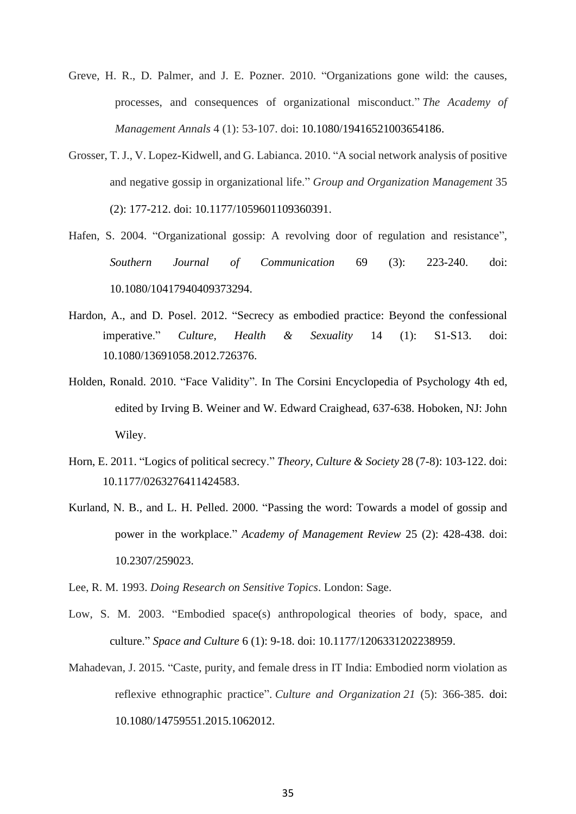- Greve, H. R., D. Palmer, and J. E. Pozner. 2010. "Organizations gone wild: the causes, processes, and consequences of organizational misconduct." *The Academy of Management Annals* 4 (1): 53-107. doi: [10.1080/19416521003654186.](about:blank)
- Grosser, T. J., V. Lopez-Kidwell, and G. Labianca. 2010. "A social network analysis of positive and negative gossip in organizational life." *Group and Organization Management* 35 (2): 177-212. doi: [10.1177/1059601109360391.](about:blank)
- Hafen, S. 2004. "Organizational gossip: A revolving door of regulation and resistance", *Southern Journal of Communication* 69 (3): 223-240. doi: [10.1080/10417940409373294.](about:blank)
- Hardon, A., and D. Posel. 2012. "Secrecy as embodied practice: Beyond the confessional imperative." *Culture, Health & Sexuality* 14 (1): S1-S13. doi: [10.1080/13691058.2012.726376.](about:blank)
- Holden, Ronald. 2010. "Face Validity". In The Corsini Encyclopedia of Psychology 4th ed, edited by Irving B. Weiner and W. Edward Craighead, 637-638. Hoboken, NJ: John Wiley.
- Horn, E. 2011. "Logics of political secrecy." *Theory, Culture & Society* 28 (7-8): 103-122. doi: [10.1177/0263276411424583.](about:blank)
- Kurland, N. B., and L. H. Pelled. 2000. "Passing the word: Towards a model of gossip and power in the workplace." *Academy of Management Review* 25 (2): 428-438. doi: 10.2307/259023.
- Lee, R. M. 1993. *Doing Research on Sensitive Topics*. London: Sage.
- Low, S. M. 2003. "Embodied space(s) anthropological theories of body, space, and culture." *Space and Culture* 6 (1): 9-18. doi: [10.1177/1206331202238959.](about:blank)
- Mahadevan, J. 2015. "Caste, purity, and female dress in IT India: Embodied norm violation as reflexive ethnographic practice". *Culture and Organization 21* (5): 366-385. doi: 10.1080/14759551.2015.1062012.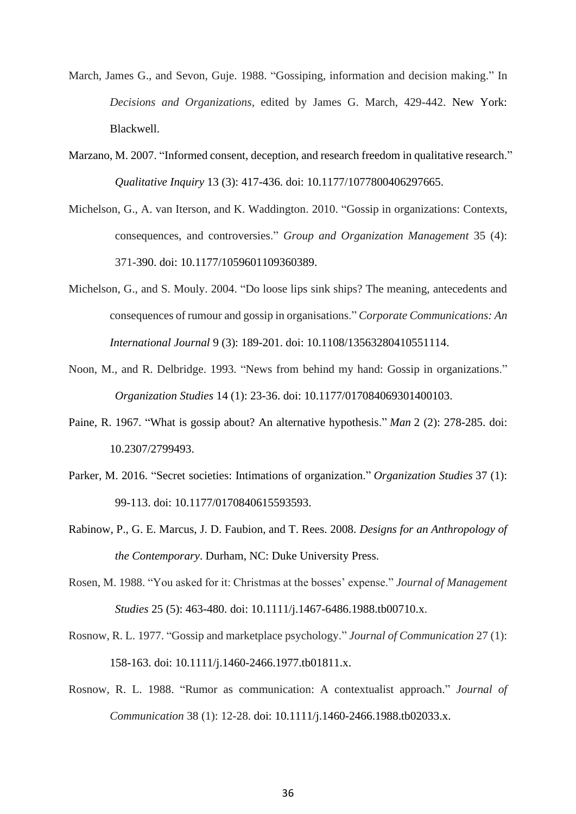- March, James G., and Sevon, Guje. 1988. "Gossiping, information and decision making." In *Decisions and Organizations*, edited by James G. March, 429-442. New York: Blackwell.
- Marzano, M. 2007. "Informed consent, deception, and research freedom in qualitative research." *Qualitative Inquiry* 13 (3): 417-436. doi: 10.1177/1077800406297665.
- Michelson, G., A. van Iterson, and K. Waddington. 2010. "Gossip in organizations: Contexts, consequences, and controversies." *Group and Organization Management* 35 (4): 371-390. doi: [10.1177/1059601109360389.](about:blank)
- Michelson, G., and S. Mouly. 2004. "Do loose lips sink ships? The meaning, antecedents and consequences of rumour and gossip in organisations." *Corporate Communications: An International Journal* 9 (3): 189-201. doi: [10.1108/13563280410551114.](about:blank)
- Noon, M., and R. Delbridge. 1993. "News from behind my hand: Gossip in organizations." *Organization Studies* 14 (1): 23-36. doi: [10.1177/017084069301400103.](about:blank)
- Paine, R. 1967. "What is gossip about? An alternative hypothesis." *Man* 2 (2): 278-285. doi: 10.2307/2799493.
- Parker, M. 2016. "Secret societies: Intimations of organization." *Organization Studies* 37 (1): 99-113. doi: [10.1177/0170840615593593.](about:blank)
- Rabinow, P., G. E. Marcus, J. D. Faubion, and T. Rees. 2008. *Designs for an Anthropology of the Contemporary*. Durham, NC: Duke University Press.
- Rosen, M. 1988. "You asked for it: Christmas at the bosses' expense." *Journal of Management Studies* 25 (5): 463-480. doi: [10.1111/j.1467-6486.1988.tb00710.x.](about:blank)
- Rosnow, R. L. 1977. "Gossip and marketplace psychology." *Journal of Communication* 27 (1): 158-163. doi: [10.1111/j.1460-2466.1977.tb01811.x.](about:blank)
- Rosnow, R. L. 1988. "Rumor as communication: A contextualist approach." *Journal of Communication* 38 (1): 12-28. doi: [10.1111/j.1460-2466.1988.tb02033.x.](about:blank)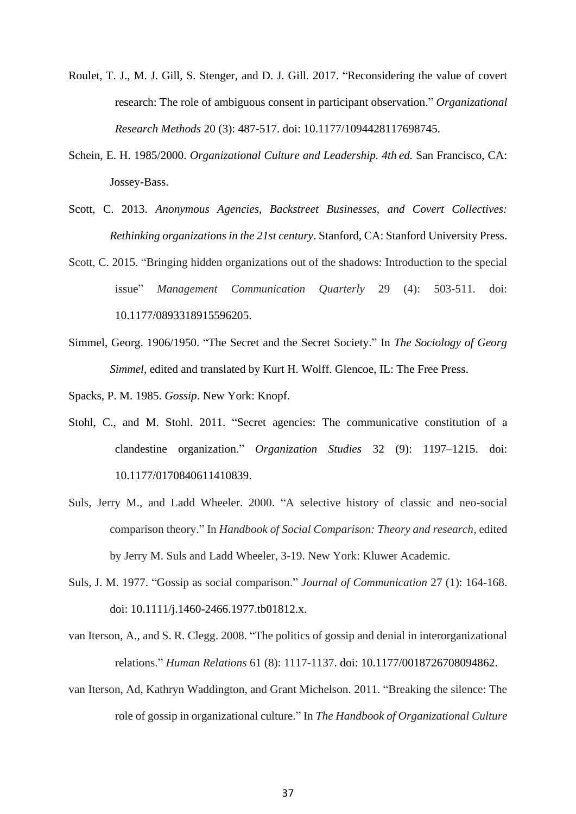- Roulet, T. J., M. J. Gill, S. Stenger, and D. J. Gill. 2017. "Reconsidering the value of covert research: The role of ambiguous consent in participant observation." *Organizational Research Methods* 20 (3): 487-517. doi: [10.1177/1094428117698745.](about:blank)
- Schein, E. H. 1985/2000. *Organizational Culture and Leadership. 4th ed.* San Francisco, CA: Jossey-Bass.
- Scott, C. 2013. *Anonymous Agencies, Backstreet Businesses, and Covert Collectives: Rethinking organizations in the 21st century*. Stanford, CA: Stanford University Press.
- Scott, C. 2015. "Bringing hidden organizations out of the shadows: Introduction to the special issue" *Management Communication Quarterly* 29 (4): 503-511. doi: 10.1177/0893318915596205.
- Simmel, Georg. 1906/1950. "The Secret and the Secret Society." In *The Sociology of Georg Simmel,* edited and translated by Kurt H. Wolff. Glencoe, IL: The Free Press.
- Spacks, P. M. 1985. *Gossip*. New York: Knopf.
- Stohl, C., and M. Stohl. 2011. "Secret agencies: The communicative constitution of a clandestine organization." *Organization Studies* 32 (9): 1197–1215. doi: [10.1177/0170840611410839.](about:blank)
- Suls, Jerry M., and Ladd Wheeler. 2000. "A selective history of classic and neo-social comparison theory." In *Handbook of Social Comparison: Theory and research,* edited by Jerry M. Suls and Ladd Wheeler, 3-19. New York: Kluwer Academic.
- Suls, J. M. 1977. "Gossip as social comparison." *Journal of Communication* 27 (1): 164-168. doi: [10.1111/j.1460-2466.1977.tb01812.x.](about:blank)
- van Iterson, A., and S. R. Clegg. 2008. "The politics of gossip and denial in interorganizational relations." *Human Relations* 61 (8): 1117-1137. doi: [10.1177/0018726708094862.](about:blank)
- van Iterson, Ad, Kathryn Waddington, and Grant Michelson. 2011. "Breaking the silence: The role of gossip in organizational culture." In *The Handbook of Organizational Culture*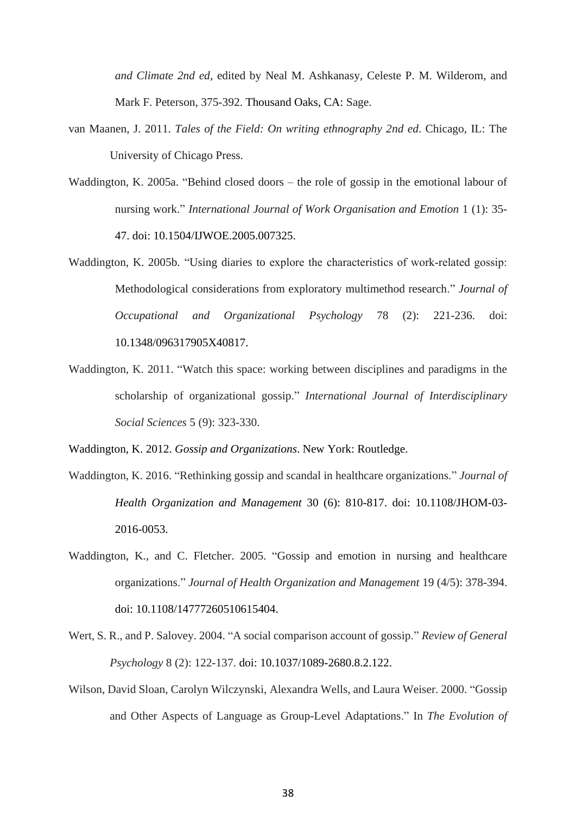*and Climate 2nd ed*, edited by Neal M. Ashkanasy, Celeste P. M. Wilderom, and Mark F. Peterson, 375-392. Thousand Oaks, CA: Sage.

- van Maanen, J. 2011. *Tales of the Field: On writing ethnography 2nd ed*. Chicago, IL: The University of Chicago Press.
- Waddington, K. 2005a. "Behind closed doors the role of gossip in the emotional labour of nursing work." *International Journal of Work Organisation and Emotion* 1 (1): 35- 47. doi: [10.1504/IJWOE.2005.007325.](about:blank)
- Waddington, K. 2005b. "Using diaries to explore the characteristics of work-related gossip: Methodological considerations from exploratory multimethod research." *Journal of Occupational and Organizational Psychology* 78 (2): 221-236. doi: [10.1348/096317905X40817.](about:blank)
- Waddington, K. 2011. "Watch this space: working between disciplines and paradigms in the scholarship of organizational gossip." *International Journal of Interdisciplinary Social Sciences* 5 (9): 323-330.

Waddington, K. 2012. *Gossip and Organizations*. New York: Routledge.

- Waddington, K. 2016. "Rethinking gossip and scandal in healthcare organizations." *Journal of Health Organization and Management* 30 (6): 810-817. doi: [10.1108/JHOM-03-](about:blank) [2016-0053.](about:blank)
- Waddington, K., and C. Fletcher. 2005. "Gossip and emotion in nursing and healthcare organizations." *Journal of Health Organization and Management* 19 (4/5): 378-394. doi: [10.1108/14777260510615404.](about:blank)
- Wert, S. R., and P. Salovey. 2004. "A social comparison account of gossip." *Review of General Psychology* 8 (2): 122-137. doi: 10.1037/1089-2680.8.2.122.
- Wilson, David Sloan, Carolyn Wilczynski, Alexandra Wells, and Laura Weiser. 2000. "Gossip and Other Aspects of Language as Group-Level Adaptations." In *The Evolution of*